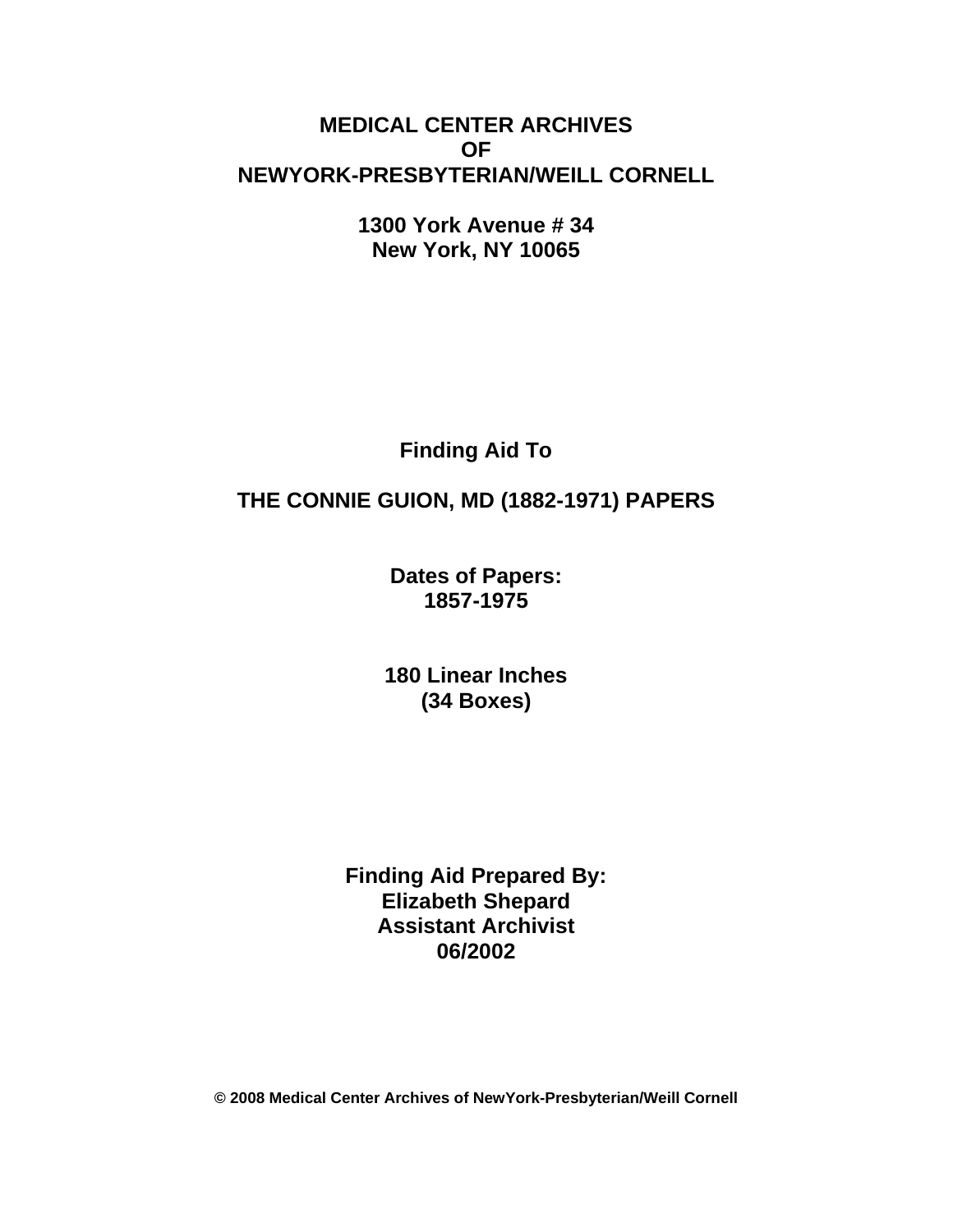# **MEDICAL CENTER ARCHIVES OF NEWYORK-PRESBYTERIAN/WEILL CORNELL**

**1300 York Avenue # 34 New York, NY 10065**

**Finding Aid To**

# **THE CONNIE GUION, MD (1882-1971) PAPERS**

**Dates of Papers: 1857-1975**

**180 Linear Inches (34 Boxes)**

**Finding Aid Prepared By: Elizabeth Shepard Assistant Archivist 06/2002**

**© 2008 Medical Center Archives of NewYork-Presbyterian/Weill Cornell**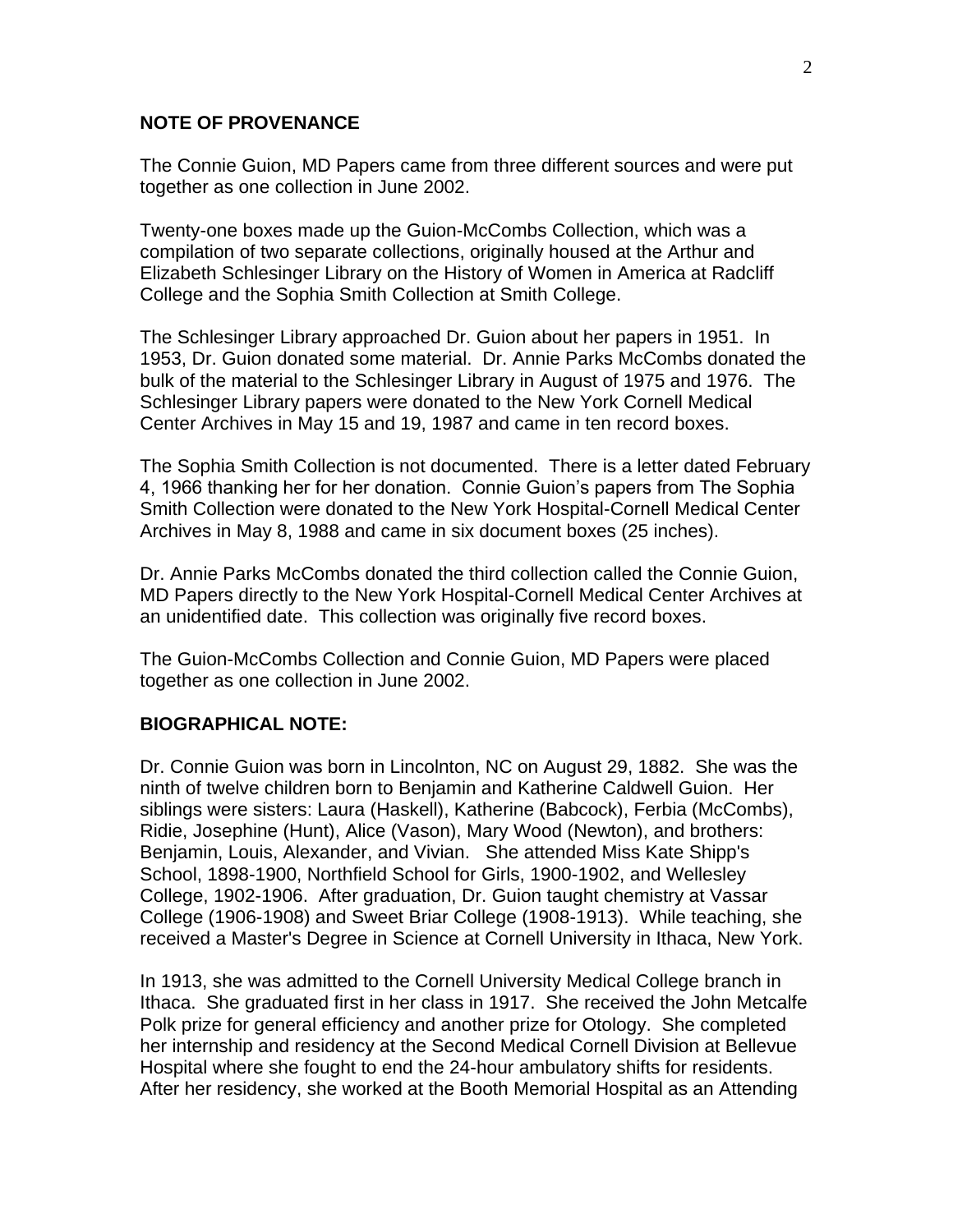#### **NOTE OF PROVENANCE**

The Connie Guion, MD Papers came from three different sources and were put together as one collection in June 2002.

Twenty-one boxes made up the Guion-McCombs Collection, which was a compilation of two separate collections, originally housed at the Arthur and Elizabeth Schlesinger Library on the History of Women in America at Radcliff College and the Sophia Smith Collection at Smith College.

The Schlesinger Library approached Dr. Guion about her papers in 1951. In 1953, Dr. Guion donated some material. Dr. Annie Parks McCombs donated the bulk of the material to the Schlesinger Library in August of 1975 and 1976. The Schlesinger Library papers were donated to the New York Cornell Medical Center Archives in May 15 and 19, 1987 and came in ten record boxes.

The Sophia Smith Collection is not documented. There is a letter dated February 4, 1966 thanking her for her donation. Connie Guion's papers from The Sophia Smith Collection were donated to the New York Hospital-Cornell Medical Center Archives in May 8, 1988 and came in six document boxes (25 inches).

Dr. Annie Parks McCombs donated the third collection called the Connie Guion, MD Papers directly to the New York Hospital-Cornell Medical Center Archives at an unidentified date. This collection was originally five record boxes.

The Guion-McCombs Collection and Connie Guion, MD Papers were placed together as one collection in June 2002.

### **BIOGRAPHICAL NOTE:**

Dr. Connie Guion was born in Lincolnton, NC on August 29, 1882. She was the ninth of twelve children born to Benjamin and Katherine Caldwell Guion. Her siblings were sisters: Laura (Haskell), Katherine (Babcock), Ferbia (McCombs), Ridie, Josephine (Hunt), Alice (Vason), Mary Wood (Newton), and brothers: Benjamin, Louis, Alexander, and Vivian. She attended Miss Kate Shipp's School, 1898-1900, Northfield School for Girls, 1900-1902, and Wellesley College, 1902-1906. After graduation, Dr. Guion taught chemistry at Vassar College (1906-1908) and Sweet Briar College (1908-1913). While teaching, she received a Master's Degree in Science at Cornell University in Ithaca, New York.

In 1913, she was admitted to the Cornell University Medical College branch in Ithaca. She graduated first in her class in 1917. She received the John Metcalfe Polk prize for general efficiency and another prize for Otology. She completed her internship and residency at the Second Medical Cornell Division at Bellevue Hospital where she fought to end the 24-hour ambulatory shifts for residents. After her residency, she worked at the Booth Memorial Hospital as an Attending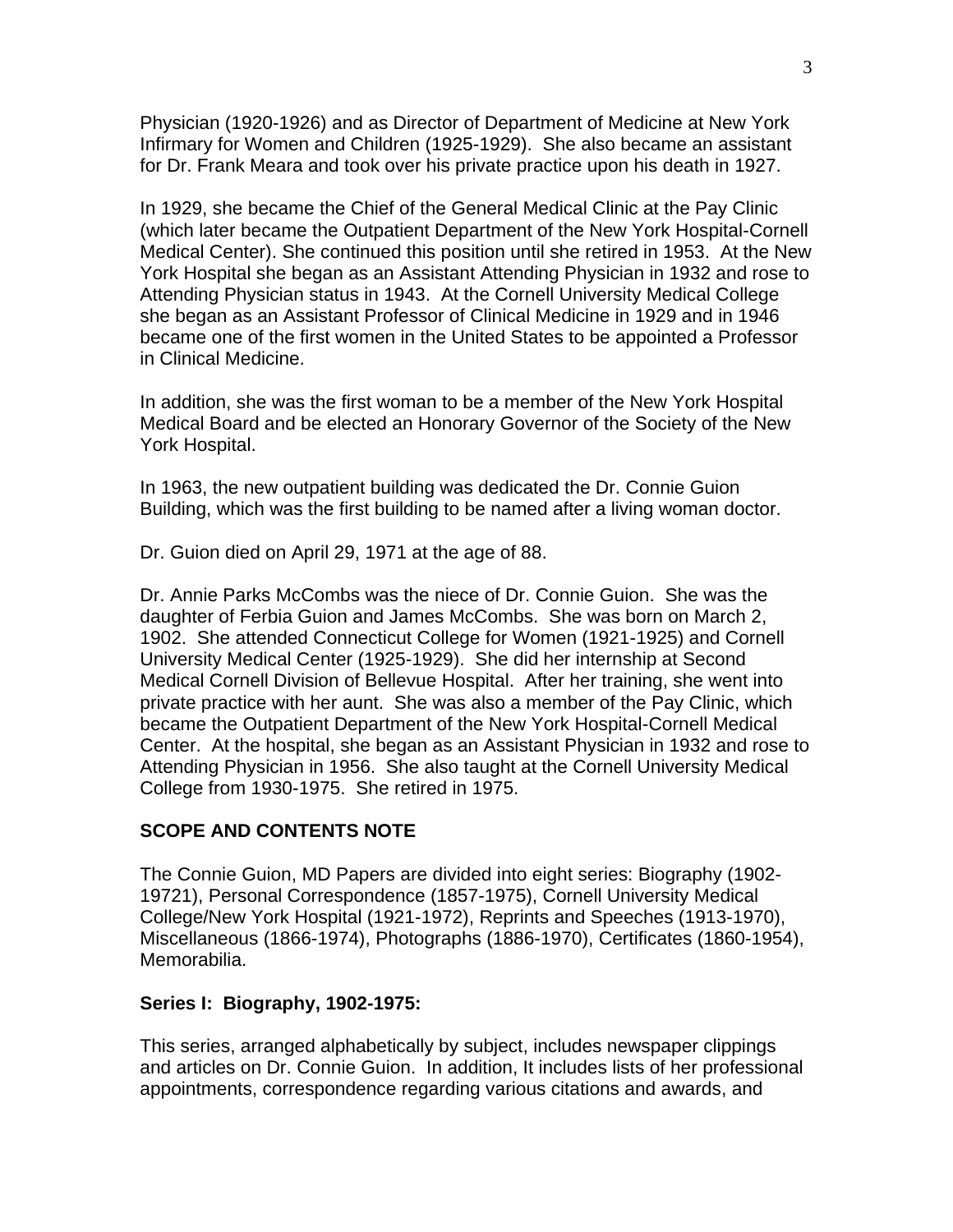Physician (1920-1926) and as Director of Department of Medicine at New York Infirmary for Women and Children (1925-1929). She also became an assistant for Dr. Frank Meara and took over his private practice upon his death in 1927.

In 1929, she became the Chief of the General Medical Clinic at the Pay Clinic (which later became the Outpatient Department of the New York Hospital-Cornell Medical Center). She continued this position until she retired in 1953. At the New York Hospital she began as an Assistant Attending Physician in 1932 and rose to Attending Physician status in 1943. At the Cornell University Medical College she began as an Assistant Professor of Clinical Medicine in 1929 and in 1946 became one of the first women in the United States to be appointed a Professor in Clinical Medicine.

In addition, she was the first woman to be a member of the New York Hospital Medical Board and be elected an Honorary Governor of the Society of the New York Hospital.

In 1963, the new outpatient building was dedicated the Dr. Connie Guion Building, which was the first building to be named after a living woman doctor.

Dr. Guion died on April 29, 1971 at the age of 88.

Dr. Annie Parks McCombs was the niece of Dr. Connie Guion. She was the daughter of Ferbia Guion and James McCombs. She was born on March 2, 1902. She attended Connecticut College for Women (1921-1925) and Cornell University Medical Center (1925-1929). She did her internship at Second Medical Cornell Division of Bellevue Hospital. After her training, she went into private practice with her aunt. She was also a member of the Pay Clinic, which became the Outpatient Department of the New York Hospital-Cornell Medical Center. At the hospital, she began as an Assistant Physician in 1932 and rose to Attending Physician in 1956. She also taught at the Cornell University Medical College from 1930-1975. She retired in 1975.

### **SCOPE AND CONTENTS NOTE**

The Connie Guion, MD Papers are divided into eight series: Biography (1902- 19721), Personal Correspondence (1857-1975), Cornell University Medical College/New York Hospital (1921-1972), Reprints and Speeches (1913-1970), Miscellaneous (1866-1974), Photographs (1886-1970), Certificates (1860-1954), Memorabilia.

### **Series I: Biography, 1902-1975:**

This series, arranged alphabetically by subject, includes newspaper clippings and articles on Dr. Connie Guion. In addition, It includes lists of her professional appointments, correspondence regarding various citations and awards, and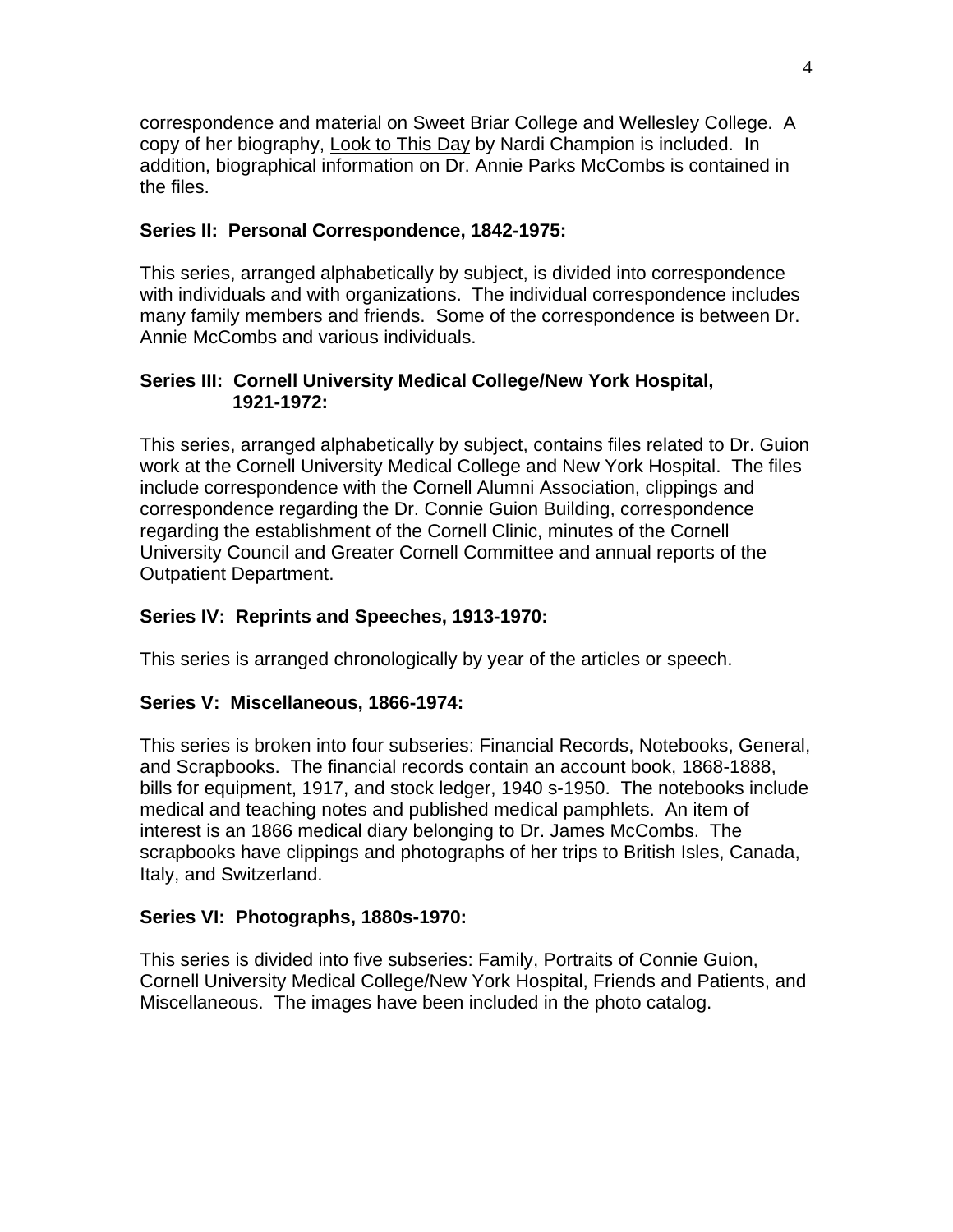correspondence and material on Sweet Briar College and Wellesley College. A copy of her biography, Look to This Day by Nardi Champion is included. In addition, biographical information on Dr. Annie Parks McCombs is contained in the files.

# **Series II: Personal Correspondence, 1842-1975:**

This series, arranged alphabetically by subject, is divided into correspondence with individuals and with organizations. The individual correspondence includes many family members and friends. Some of the correspondence is between Dr. Annie McCombs and various individuals.

### **Series III: Cornell University Medical College/New York Hospital, 1921-1972:**

This series, arranged alphabetically by subject, contains files related to Dr. Guion work at the Cornell University Medical College and New York Hospital. The files include correspondence with the Cornell Alumni Association, clippings and correspondence regarding the Dr. Connie Guion Building, correspondence regarding the establishment of the Cornell Clinic, minutes of the Cornell University Council and Greater Cornell Committee and annual reports of the Outpatient Department.

# **Series IV: Reprints and Speeches, 1913-1970:**

This series is arranged chronologically by year of the articles or speech.

# **Series V: Miscellaneous, 1866-1974:**

This series is broken into four subseries: Financial Records, Notebooks, General, and Scrapbooks. The financial records contain an account book, 1868-1888, bills for equipment, 1917, and stock ledger, 1940 s-1950. The notebooks include medical and teaching notes and published medical pamphlets. An item of interest is an 1866 medical diary belonging to Dr. James McCombs. The scrapbooks have clippings and photographs of her trips to British Isles, Canada, Italy, and Switzerland.

# **Series VI: Photographs, 1880s-1970:**

This series is divided into five subseries: Family, Portraits of Connie Guion, Cornell University Medical College/New York Hospital, Friends and Patients, and Miscellaneous. The images have been included in the photo catalog.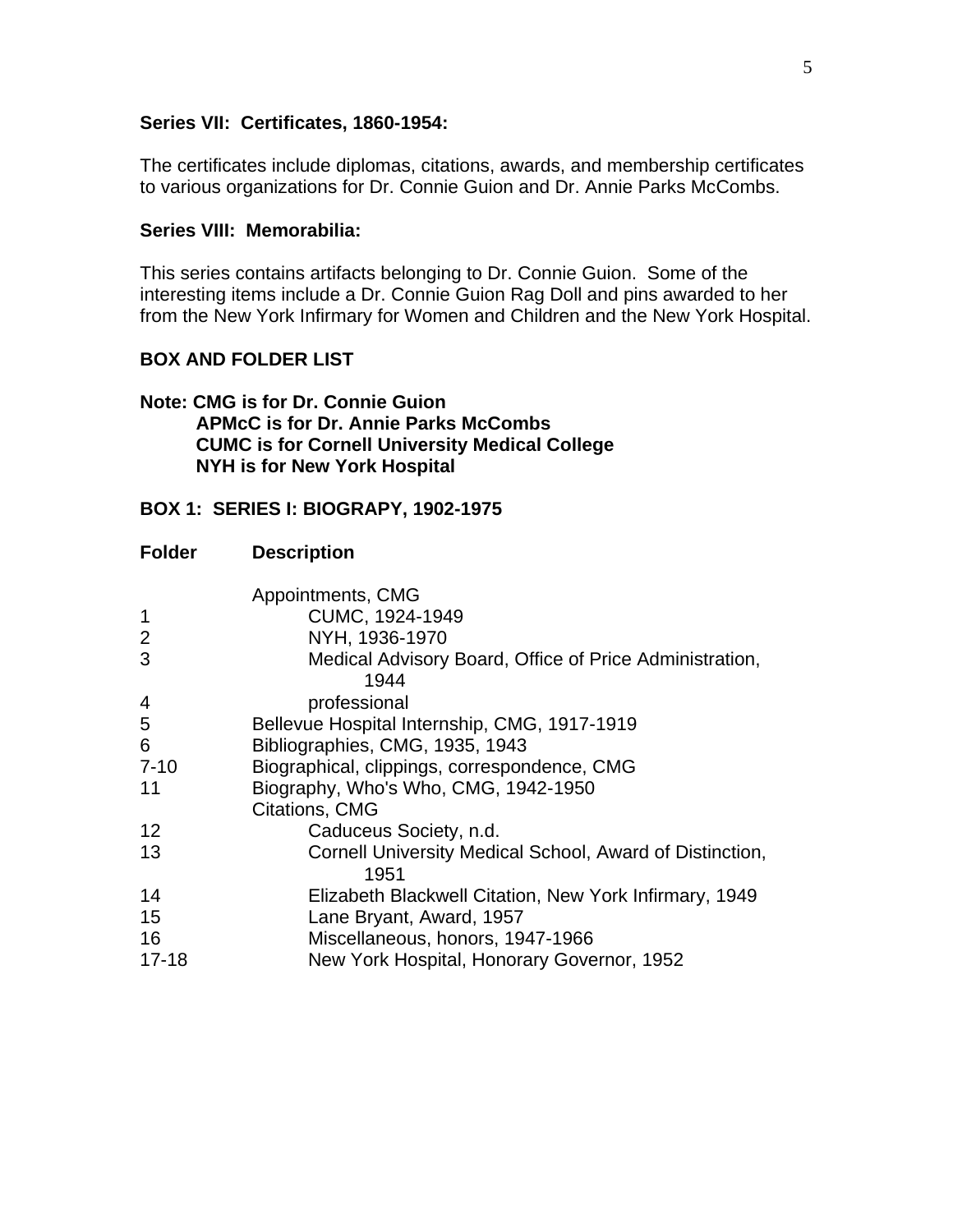#### **Series VII: Certificates, 1860-1954:**

The certificates include diplomas, citations, awards, and membership certificates to various organizations for Dr. Connie Guion and Dr. Annie Parks McCombs.

#### **Series VIII: Memorabilia:**

This series contains artifacts belonging to Dr. Connie Guion. Some of the interesting items include a Dr. Connie Guion Rag Doll and pins awarded to her from the New York Infirmary for Women and Children and the New York Hospital.

#### **BOX AND FOLDER LIST**

#### **Note: CMG is for Dr. Connie Guion APMcC is for Dr. Annie Parks McCombs CUMC is for Cornell University Medical College NYH is for New York Hospital**

#### **BOX 1: SERIES I: BIOGRAPY, 1902-1975**

| <b>Folder</b>  | <b>Description</b>                                               |
|----------------|------------------------------------------------------------------|
|                | Appointments, CMG                                                |
| $\mathbf 1$    | CUMC, 1924-1949                                                  |
| $\overline{2}$ | NYH, 1936-1970                                                   |
| 3              | Medical Advisory Board, Office of Price Administration,<br>1944  |
| 4              | professional                                                     |
| 5              | Bellevue Hospital Internship, CMG, 1917-1919                     |
| 6              | Bibliographies, CMG, 1935, 1943                                  |
| $7 - 10$       | Biographical, clippings, correspondence, CMG                     |
| 11             | Biography, Who's Who, CMG, 1942-1950                             |
|                | Citations, CMG                                                   |
| 12             | Caduceus Society, n.d.                                           |
| 13             | Cornell University Medical School, Award of Distinction,<br>1951 |
| 14             | Elizabeth Blackwell Citation, New York Infirmary, 1949           |
| 15             | Lane Bryant, Award, 1957                                         |
| 16             | Miscellaneous, honors, 1947-1966                                 |
| $17 - 18$      | New York Hospital, Honorary Governor, 1952                       |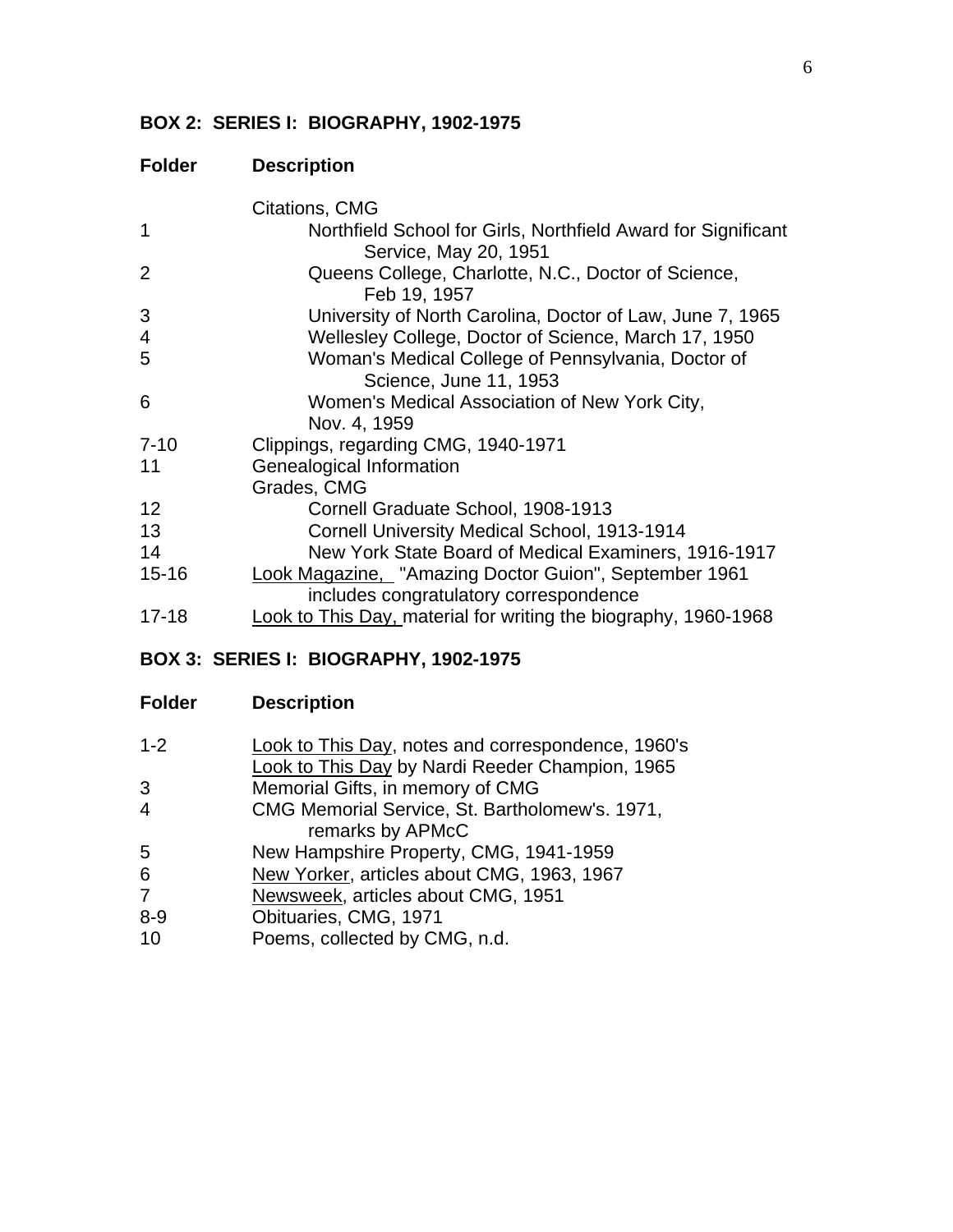# **BOX 2: SERIES I: BIOGRAPHY, 1902-1975**

# **Folder Description**

|           | Citations, CMG                                                                         |
|-----------|----------------------------------------------------------------------------------------|
| 1         | Northfield School for Girls, Northfield Award for Significant<br>Service, May 20, 1951 |
| 2         | Queens College, Charlotte, N.C., Doctor of Science,<br>Feb 19, 1957                    |
| 3         | University of North Carolina, Doctor of Law, June 7, 1965                              |
| 4         | Wellesley College, Doctor of Science, March 17, 1950                                   |
| 5         | Woman's Medical College of Pennsylvania, Doctor of                                     |
|           | Science, June 11, 1953                                                                 |
| 6         | Women's Medical Association of New York City,                                          |
|           | Nov. 4, 1959                                                                           |
| $7 - 10$  | Clippings, regarding CMG, 1940-1971                                                    |
| 11        | Genealogical Information                                                               |
|           | Grades, CMG                                                                            |
| 12        | Cornell Graduate School, 1908-1913                                                     |
| 13        | Cornell University Medical School, 1913-1914                                           |
| 14        | New York State Board of Medical Examiners, 1916-1917                                   |
| $15 - 16$ | Look Magazine, "Amazing Doctor Guion", September 1961                                  |
|           | includes congratulatory correspondence                                                 |
| $17 - 18$ | Look to This Day, material for writing the biography, 1960-1968                        |

# **BOX 3: SERIES I: BIOGRAPHY, 1902-1975**

| $1 - 2$ | <b>Look to This Day, notes and correspondence, 1960's</b> |
|---------|-----------------------------------------------------------|
|         | Look to This Day by Nardi Reeder Champion, 1965           |
| 3       | Memorial Gifts, in memory of CMG                          |
| 4       | CMG Memorial Service, St. Bartholomew's. 1971,            |
|         | remarks by APMcC                                          |
| 5       | New Hampshire Property, CMG, 1941-1959                    |
| 6       | New Yorker, articles about CMG, 1963, 1967                |
| 7       | Newsweek, articles about CMG, 1951                        |
| 8-9     | Obituaries, CMG, 1971                                     |
| 10      | Poems, collected by CMG, n.d.                             |
|         |                                                           |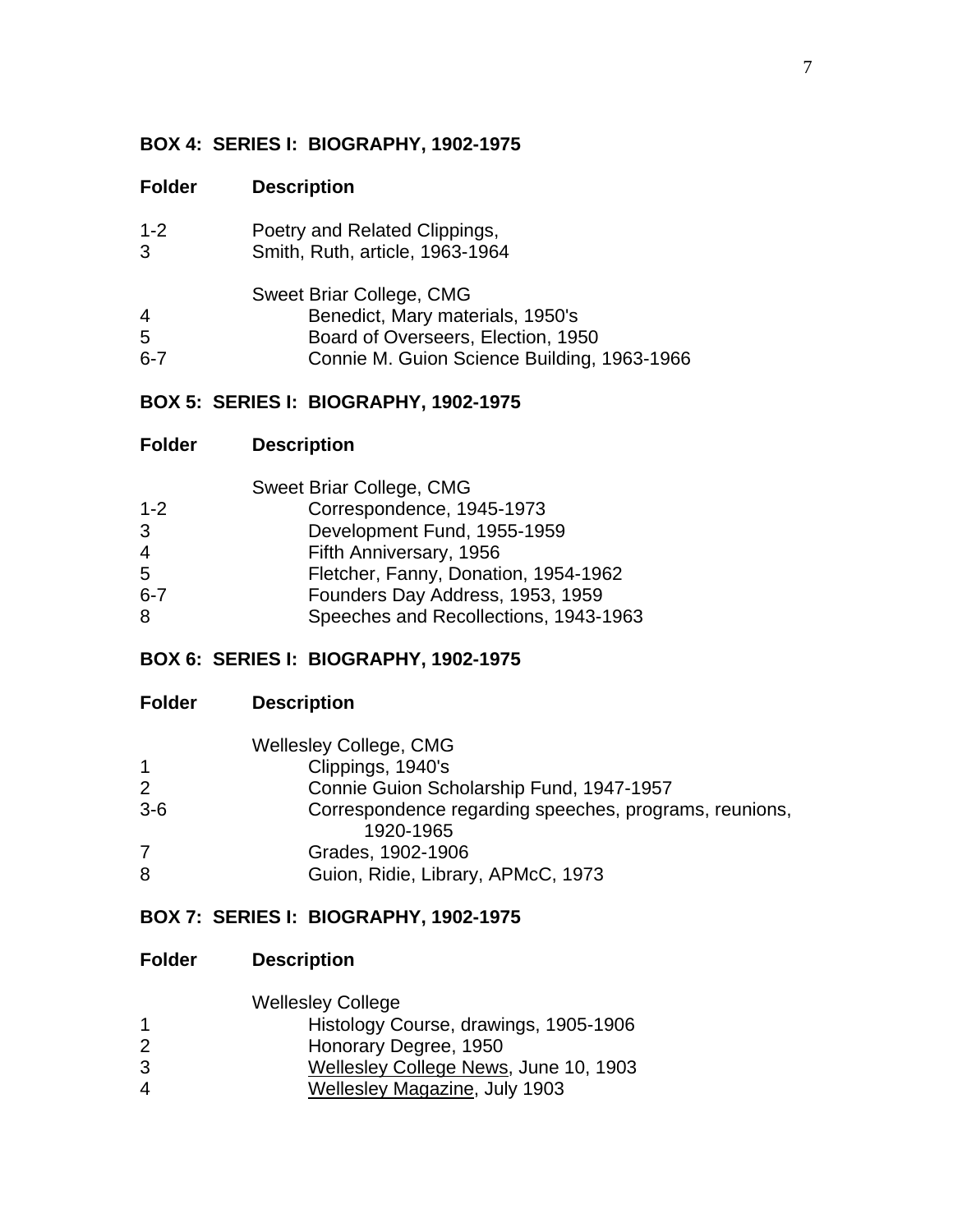# **BOX 4: SERIES I: BIOGRAPHY, 1902-1975**

### **Folder Description**

| $1 - 2$                    | Poetry and Related Clippings,                                                                                                                     |
|----------------------------|---------------------------------------------------------------------------------------------------------------------------------------------------|
| 3                          | Smith, Ruth, article, 1963-1964                                                                                                                   |
| $\overline{4}$<br>5<br>6-7 | Sweet Briar College, CMG<br>Benedict, Mary materials, 1950's<br>Board of Overseers, Election, 1950<br>Connie M. Guion Science Building, 1963-1966 |

# **BOX 5: SERIES I: BIOGRAPHY, 1902-1975**

| <b>Sweet Briar College, CMG</b>       |
|---------------------------------------|
| Correspondence, 1945-1973             |
| Development Fund, 1955-1959           |
| Fifth Anniversary, 1956               |
| Fletcher, Fanny, Donation, 1954-1962  |
| Founders Day Address, 1953, 1959      |
| Speeches and Recollections, 1943-1963 |
|                                       |

# **BOX 6: SERIES I: BIOGRAPHY, 1902-1975**

# **Folder Description**

|                | <b>Wellesley College, CMG</b>                          |
|----------------|--------------------------------------------------------|
| $\mathbf{1}$   | Clippings, 1940's                                      |
| 2              | Connie Guion Scholarship Fund, 1947-1957               |
| $3-6$          | Correspondence regarding speeches, programs, reunions, |
|                | 1920-1965                                              |
| $\overline{7}$ | Grades, 1902-1906                                      |
| 8              | Guion, Ridie, Library, APMcC, 1973                     |

# **BOX 7: SERIES I: BIOGRAPHY, 1902-1975**

### **Folder Description**

|   | <b>Wellesley College</b>              |
|---|---------------------------------------|
| 1 | Histology Course, drawings, 1905-1906 |
| 2 | Honorary Degree, 1950                 |
| 3 | Wellesley College News, June 10, 1903 |

4 Wellesley Magazine, July 1903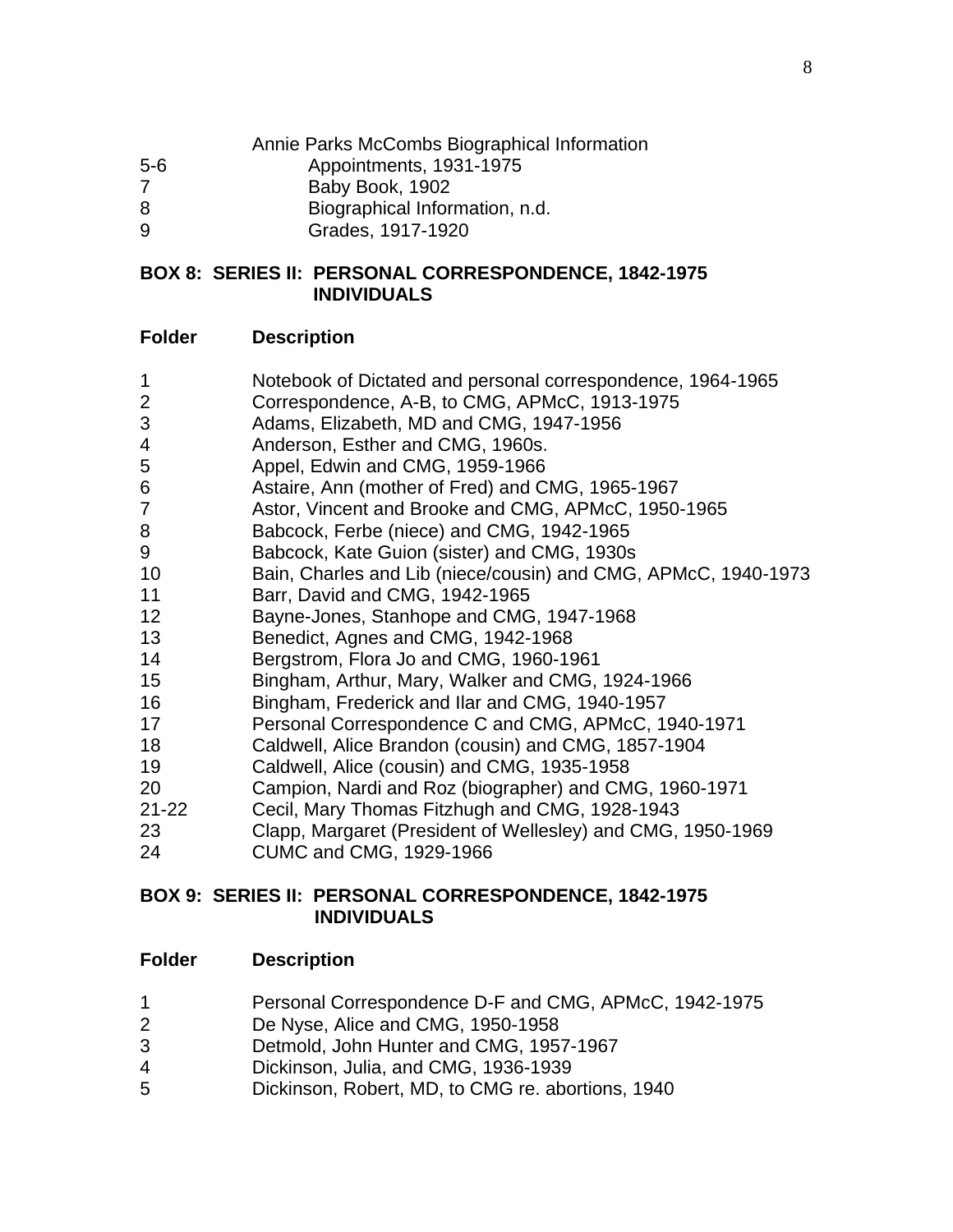|         | Annie Parks McCombs Biographical Information |
|---------|----------------------------------------------|
| $5 - 6$ | Appointments, 1931-1975                      |
|         | Baby Book, 1902                              |
| 8       | Biographical Information, n.d.               |
| 9       | Grades, 1917-1920                            |

#### **BOX 8: SERIES II: PERSONAL CORRESPONDENCE, 1842-1975 INDIVIDUALS**

### **Folder Description**

- Notebook of Dictated and personal correspondence, 1964-1965
- Correspondence, A-B, to CMG, APMcC, 1913-1975
- Adams, Elizabeth, MD and CMG, 1947-1956
- Anderson, Esther and CMG, 1960s.
- Appel, Edwin and CMG, 1959-1966
- Astaire, Ann (mother of Fred) and CMG, 1965-1967
- Astor, Vincent and Brooke and CMG, APMcC, 1950-1965
- Babcock, Ferbe (niece) and CMG, 1942-1965
- Babcock, Kate Guion (sister) and CMG, 1930s
- Bain, Charles and Lib (niece/cousin) and CMG, APMcC, 1940-1973
- Barr, David and CMG, 1942-1965
- Bayne-Jones, Stanhope and CMG, 1947-1968
- Benedict, Agnes and CMG, 1942-1968
- Bergstrom, Flora Jo and CMG, 1960-1961
- Bingham, Arthur, Mary, Walker and CMG, 1924-1966
- Bingham, Frederick and Ilar and CMG, 1940-1957
- Personal Correspondence C and CMG, APMcC, 1940-1971
- Caldwell, Alice Brandon (cousin) and CMG, 1857-1904
- Caldwell, Alice (cousin) and CMG, 1935-1958
- Campion, Nardi and Roz (biographer) and CMG, 1960-1971
- 21-22 Cecil, Mary Thomas Fitzhugh and CMG, 1928-1943
- Clapp, Margaret (President of Wellesley) and CMG, 1950-1969
- CUMC and CMG, 1929-1966

### **BOX 9: SERIES II: PERSONAL CORRESPONDENCE, 1842-1975 INDIVIDUALS**

- Personal Correspondence D-F and CMG, APMcC, 1942-1975
- De Nyse, Alice and CMG, 1950-1958
- Detmold, John Hunter and CMG, 1957-1967
- Dickinson, Julia, and CMG, 1936-1939
- Dickinson, Robert, MD, to CMG re. abortions, 1940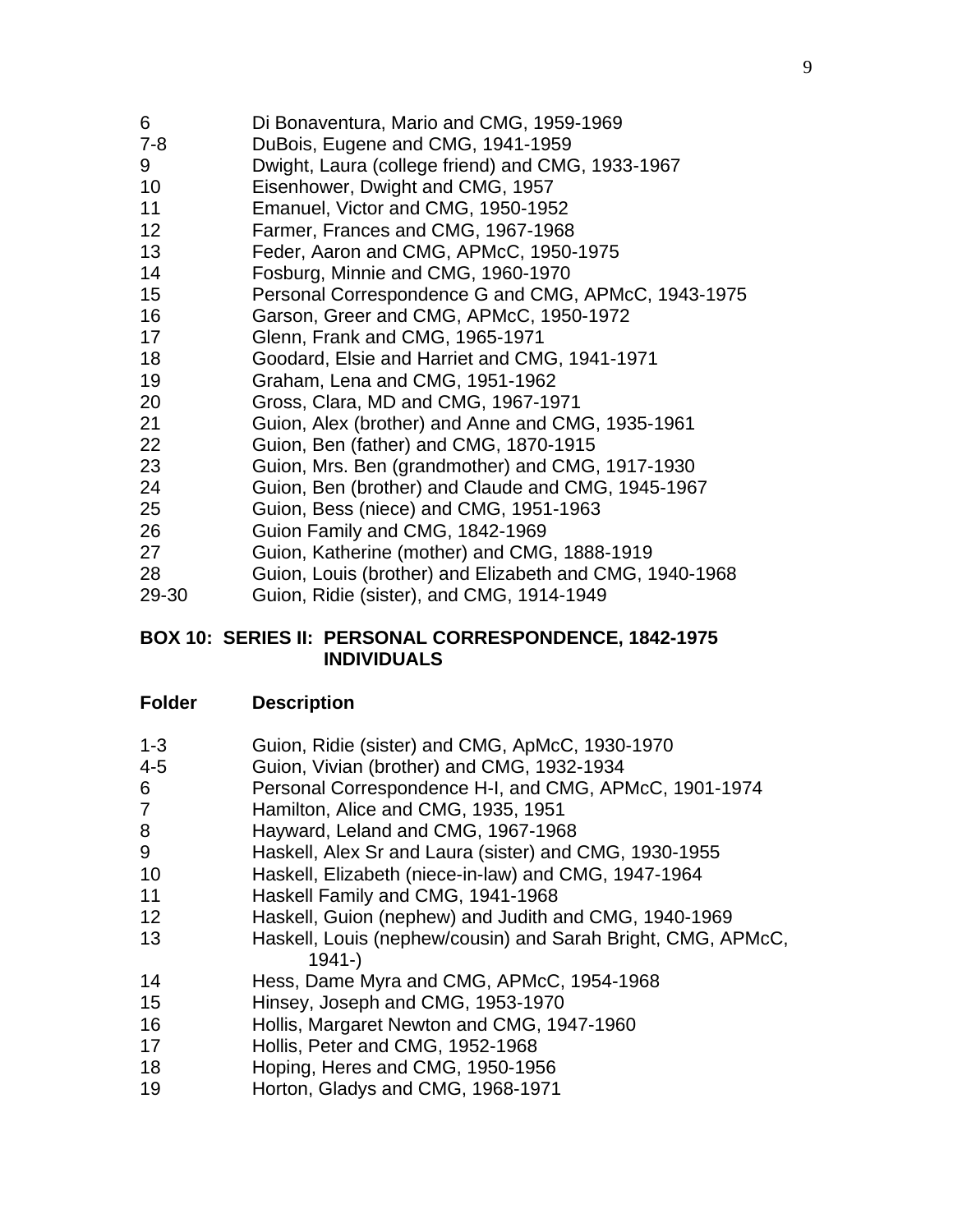| 6<br>$7 - 8$ | Di Bonaventura, Mario and CMG, 1959-1969<br>DuBois, Eugene and CMG, 1941-1959 |
|--------------|-------------------------------------------------------------------------------|
| 9            | Dwight, Laura (college friend) and CMG, 1933-1967                             |
| 10           | Eisenhower, Dwight and CMG, 1957                                              |
| 11           | Emanuel, Victor and CMG, 1950-1952                                            |
| 12           | Farmer, Frances and CMG, 1967-1968                                            |
| 13           | Feder, Aaron and CMG, APMcC, 1950-1975                                        |
| 14           | Fosburg, Minnie and CMG, 1960-1970                                            |
| 15           | Personal Correspondence G and CMG, APMcC, 1943-1975                           |
| 16           | Garson, Greer and CMG, APMcC, 1950-1972                                       |
| 17           | Glenn, Frank and CMG, 1965-1971                                               |
| 18           | Goodard, Elsie and Harriet and CMG, 1941-1971                                 |
| 19           | Graham, Lena and CMG, 1951-1962                                               |
| 20           | Gross, Clara, MD and CMG, 1967-1971                                           |
| 21           | Guion, Alex (brother) and Anne and CMG, 1935-1961                             |
| 22           | Guion, Ben (father) and CMG, 1870-1915                                        |
| 23           | Guion, Mrs. Ben (grandmother) and CMG, 1917-1930                              |
| 24           | Guion, Ben (brother) and Claude and CMG, 1945-1967                            |
| 25           | Guion, Bess (niece) and CMG, 1951-1963                                        |
| 26           | Guion Family and CMG, 1842-1969                                               |
| 27           | Guion, Katherine (mother) and CMG, 1888-1919                                  |
| 28           | Guion, Louis (brother) and Elizabeth and CMG, 1940-1968                       |
| 29-30        | Guion, Ridie (sister), and CMG, 1914-1949                                     |

#### **BOX 10: SERIES II: PERSONAL CORRESPONDENCE, 1842-1975 INDIVIDUALS**

|  | $1 - 3$ | Guion, Ridie (sister) and CMG, ApMcC, 1930-1970 |  |  |  |  |
|--|---------|-------------------------------------------------|--|--|--|--|
|--|---------|-------------------------------------------------|--|--|--|--|

- 4-5 Guion, Vivian (brother) and CMG, 1932-1934
- Personal Correspondence H-I, and CMG, APMcC, 1901-1974
- Hamilton, Alice and CMG, 1935, 1951
- Hayward, Leland and CMG, 1967-1968
- Haskell, Alex Sr and Laura (sister) and CMG, 1930-1955
- Haskell, Elizabeth (niece-in-law) and CMG, 1947-1964
- Haskell Family and CMG, 1941-1968
- Haskell, Guion (nephew) and Judith and CMG, 1940-1969
- Haskell, Louis (nephew/cousin) and Sarah Bright, CMG, APMcC, 1941-)
- Hess, Dame Myra and CMG, APMcC, 1954-1968
- Hinsey, Joseph and CMG, 1953-1970
- Hollis, Margaret Newton and CMG, 1947-1960
- Hollis, Peter and CMG, 1952-1968
- Hoping, Heres and CMG, 1950-1956
- Horton, Gladys and CMG, 1968-1971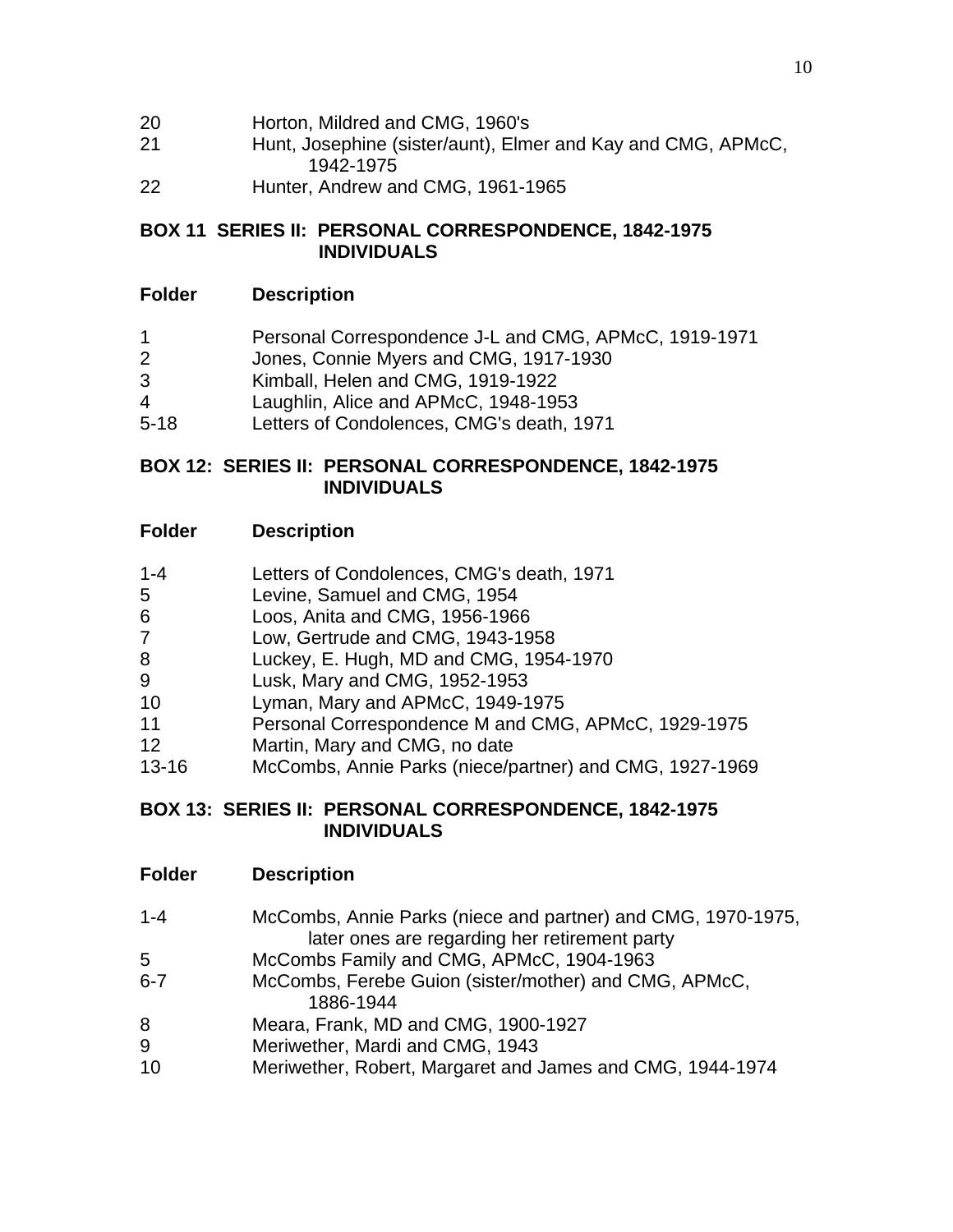| 20 | Horton, Mildred and CMG, 1960's |
|----|---------------------------------|
|----|---------------------------------|

- 21 Hunt, Josephine (sister/aunt), Elmer and Kay and CMG, APMcC, 1942-1975
- 22 Hunter, Andrew and CMG, 1961-1965

### **BOX 11 SERIES II: PERSONAL CORRESPONDENCE, 1842-1975 INDIVIDUALS**

### **Folder Description**

- 1 Personal Correspondence J-L and CMG, APMcC, 1919-1971
- 2 Jones, Connie Myers and CMG, 1917-1930
- 3 Kimball, Helen and CMG, 1919-1922
- 4 Laughlin, Alice and APMcC, 1948-1953
- 5-18 Letters of Condolences, CMG's death, 1971

#### **BOX 12: SERIES II: PERSONAL CORRESPONDENCE, 1842-1975 INDIVIDUALS**

### **Folder Description**

- 1-4 Letters of Condolences, CMG's death, 1971
- 5 Levine, Samuel and CMG, 1954
- 6 Loos, Anita and CMG, 1956-1966
- 7 Low, Gertrude and CMG, 1943-1958
- 8 Luckey, E. Hugh, MD and CMG, 1954-1970
- 9 Lusk, Mary and CMG, 1952-1953
- 10 Lyman, Mary and APMcC, 1949-1975
- 11 Personal Correspondence M and CMG, APMcC, 1929-1975
- 12 Martin, Mary and CMG, no date
- 13-16 McCombs, Annie Parks (niece/partner) and CMG, 1927-1969

### **BOX 13: SERIES II: PERSONAL CORRESPONDENCE, 1842-1975 INDIVIDUALS**

- **Folder Description**
- 1-4 McCombs, Annie Parks (niece and partner) and CMG, 1970-1975, later ones are regarding her retirement party
- 5 McCombs Family and CMG, APMcC, 1904-1963
- 6-7 McCombs, Ferebe Guion (sister/mother) and CMG, APMcC, 1886-1944
- 8 Meara, Frank, MD and CMG, 1900-1927
- 9 Meriwether, Mardi and CMG, 1943
- 10 Meriwether, Robert, Margaret and James and CMG, 1944-1974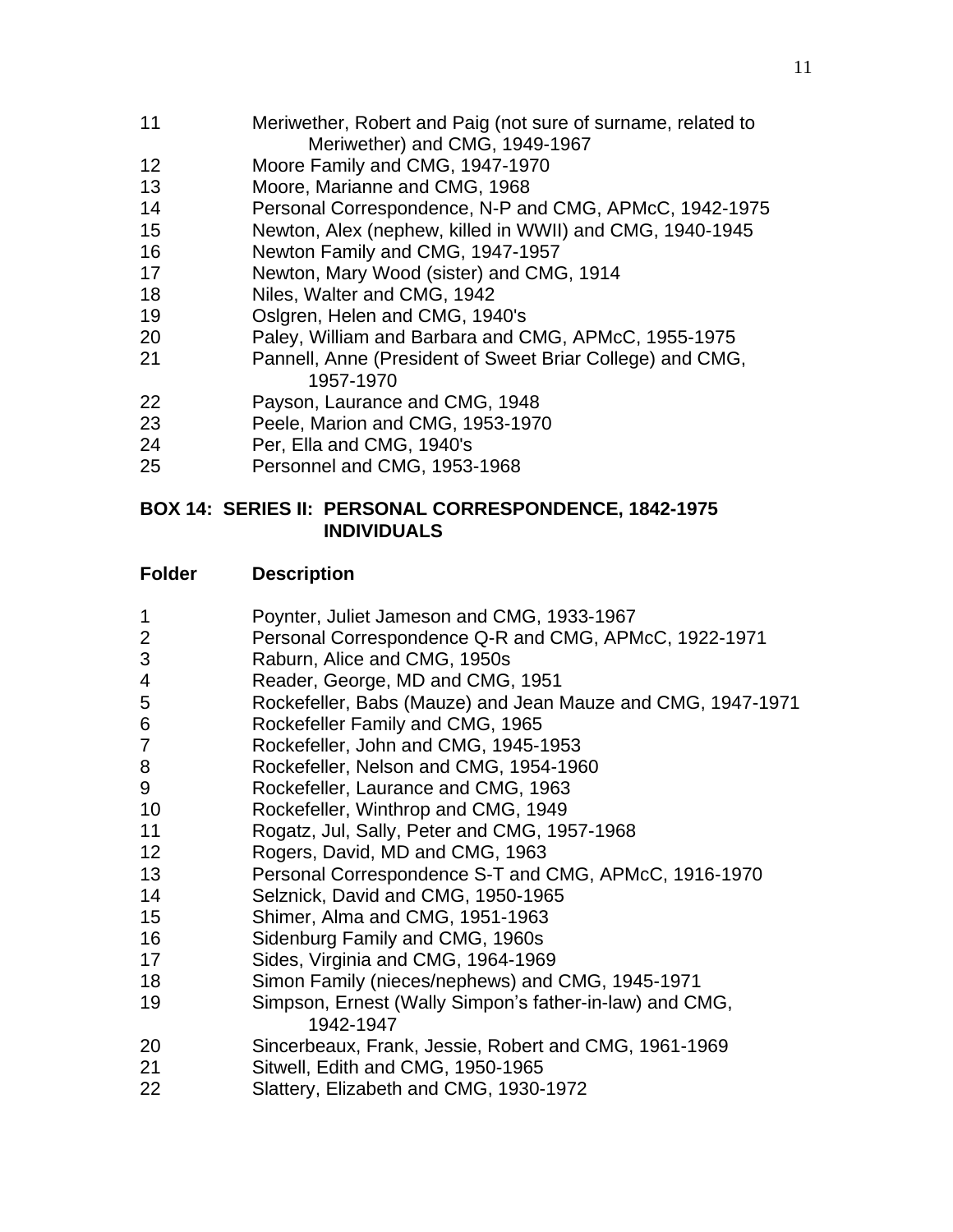- Meriwether, Robert and Paig (not sure of surname, related to Meriwether) and CMG, 1949-1967
- Moore Family and CMG, 1947-1970
- Moore, Marianne and CMG, 1968
- Personal Correspondence, N-P and CMG, APMcC, 1942-1975
- Newton, Alex (nephew, killed in WWII) and CMG, 1940-1945
- Newton Family and CMG, 1947-1957
- Newton, Mary Wood (sister) and CMG, 1914
- Niles, Walter and CMG, 1942
- Oslgren, Helen and CMG, 1940's
- Paley, William and Barbara and CMG, APMcC, 1955-1975
- Pannell, Anne (President of Sweet Briar College) and CMG, 1957-1970
- Payson, Laurance and CMG, 1948
- Peele, Marion and CMG, 1953-1970
- Per, Ella and CMG, 1940's
- Personnel and CMG, 1953-1968

### **BOX 14: SERIES II: PERSONAL CORRESPONDENCE, 1842-1975 INDIVIDUALS**

- Poynter, Juliet Jameson and CMG, 1933-1967
- Personal Correspondence Q-R and CMG, APMcC, 1922-1971
- Raburn, Alice and CMG, 1950s
- Reader, George, MD and CMG, 1951
- Rockefeller, Babs (Mauze) and Jean Mauze and CMG, 1947-1971
- Rockefeller Family and CMG, 1965
- Rockefeller, John and CMG, 1945-1953
- Rockefeller, Nelson and CMG, 1954-1960
- Rockefeller, Laurance and CMG, 1963
- Rockefeller, Winthrop and CMG, 1949
- Rogatz, Jul, Sally, Peter and CMG, 1957-1968
- Rogers, David, MD and CMG, 1963
- Personal Correspondence S-T and CMG, APMcC, 1916-1970
- Selznick, David and CMG, 1950-1965
- Shimer, Alma and CMG, 1951-1963
- Sidenburg Family and CMG, 1960s
- Sides, Virginia and CMG, 1964-1969
- Simon Family (nieces/nephews) and CMG, 1945-1971
- Simpson, Ernest (Wally Simpon's father-in-law) and CMG, 1942-1947
- Sincerbeaux, Frank, Jessie, Robert and CMG, 1961-1969
- Sitwell, Edith and CMG, 1950-1965
- Slattery, Elizabeth and CMG, 1930-1972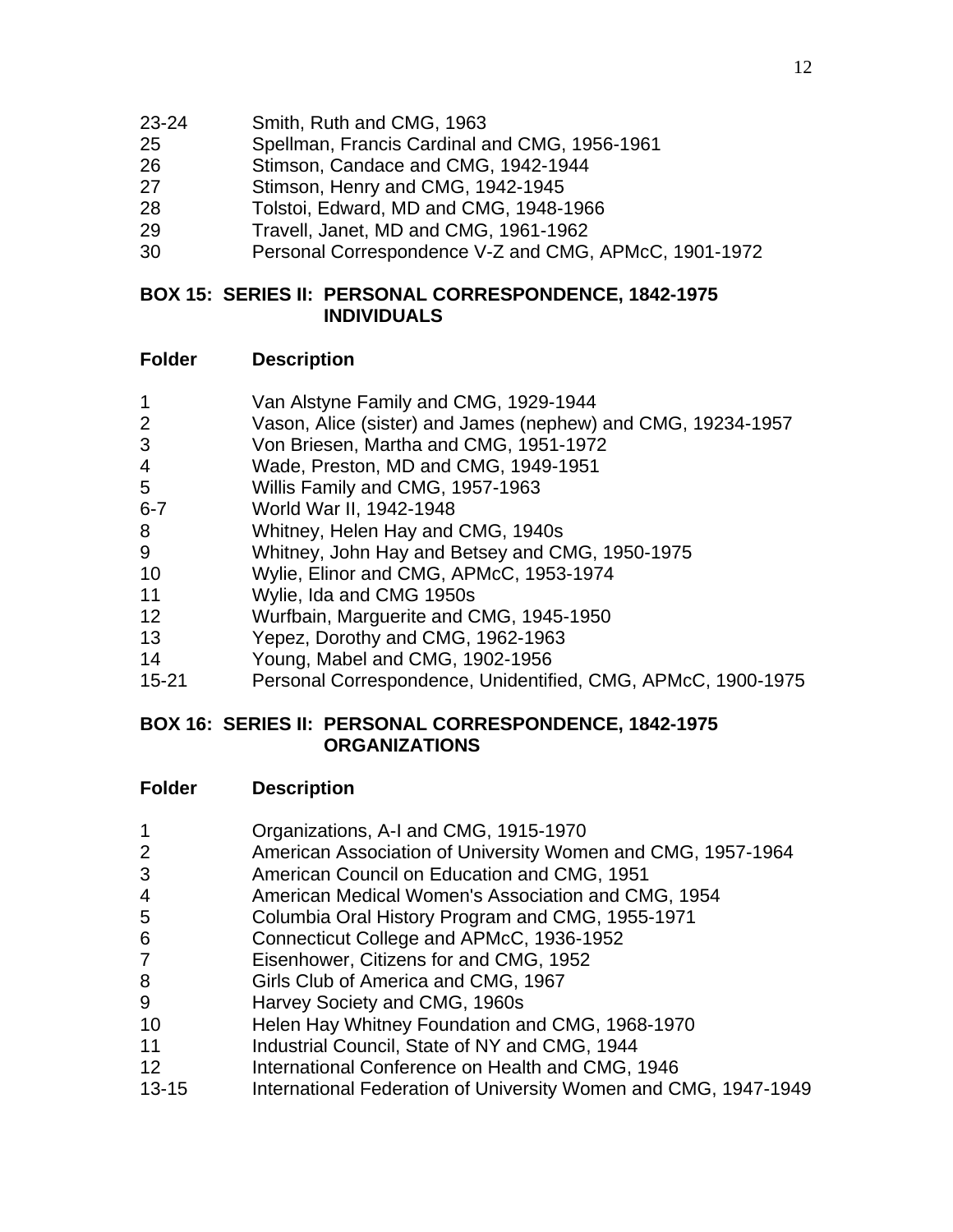- 23-24 Smith, Ruth and CMG, 1963
- Spellman, Francis Cardinal and CMG, 1956-1961
- Stimson, Candace and CMG, 1942-1944
- Stimson, Henry and CMG, 1942-1945
- Tolstoi, Edward, MD and CMG, 1948-1966
- Travell, Janet, MD and CMG, 1961-1962
- Personal Correspondence V-Z and CMG, APMcC, 1901-1972

### **BOX 15: SERIES II: PERSONAL CORRESPONDENCE, 1842-1975 INDIVIDUALS**

### **Folder Description**

- Van Alstyne Family and CMG, 1929-1944
- Vason, Alice (sister) and James (nephew) and CMG, 19234-1957
- Von Briesen, Martha and CMG, 1951-1972
- Wade, Preston, MD and CMG, 1949-1951
- Willis Family and CMG, 1957-1963
- 6-7 World War II, 1942-1948
- Whitney, Helen Hay and CMG, 1940s
- Whitney, John Hay and Betsey and CMG, 1950-1975
- Wylie, Elinor and CMG, APMcC, 1953-1974
- Wylie, Ida and CMG 1950s
- Wurfbain, Marguerite and CMG, 1945-1950
- Yepez, Dorothy and CMG, 1962-1963
- Young, Mabel and CMG, 1902-1956
- 15-21 Personal Correspondence, Unidentified, CMG, APMcC, 1900-1975

### **BOX 16: SERIES II: PERSONAL CORRESPONDENCE, 1842-1975 ORGANIZATIONS**

- Organizations, A-I and CMG, 1915-1970
- American Association of University Women and CMG, 1957-1964
- American Council on Education and CMG, 1951
- American Medical Women's Association and CMG, 1954
- Columbia Oral History Program and CMG, 1955-1971
- Connecticut College and APMcC, 1936-1952
- Eisenhower, Citizens for and CMG, 1952
- Girls Club of America and CMG, 1967
- Harvey Society and CMG, 1960s
- Helen Hay Whitney Foundation and CMG, 1968-1970
- **Industrial Council, State of NY and CMG, 1944**
- **International Conference on Health and CMG, 1946**
- 13-15 International Federation of University Women and CMG, 1947-1949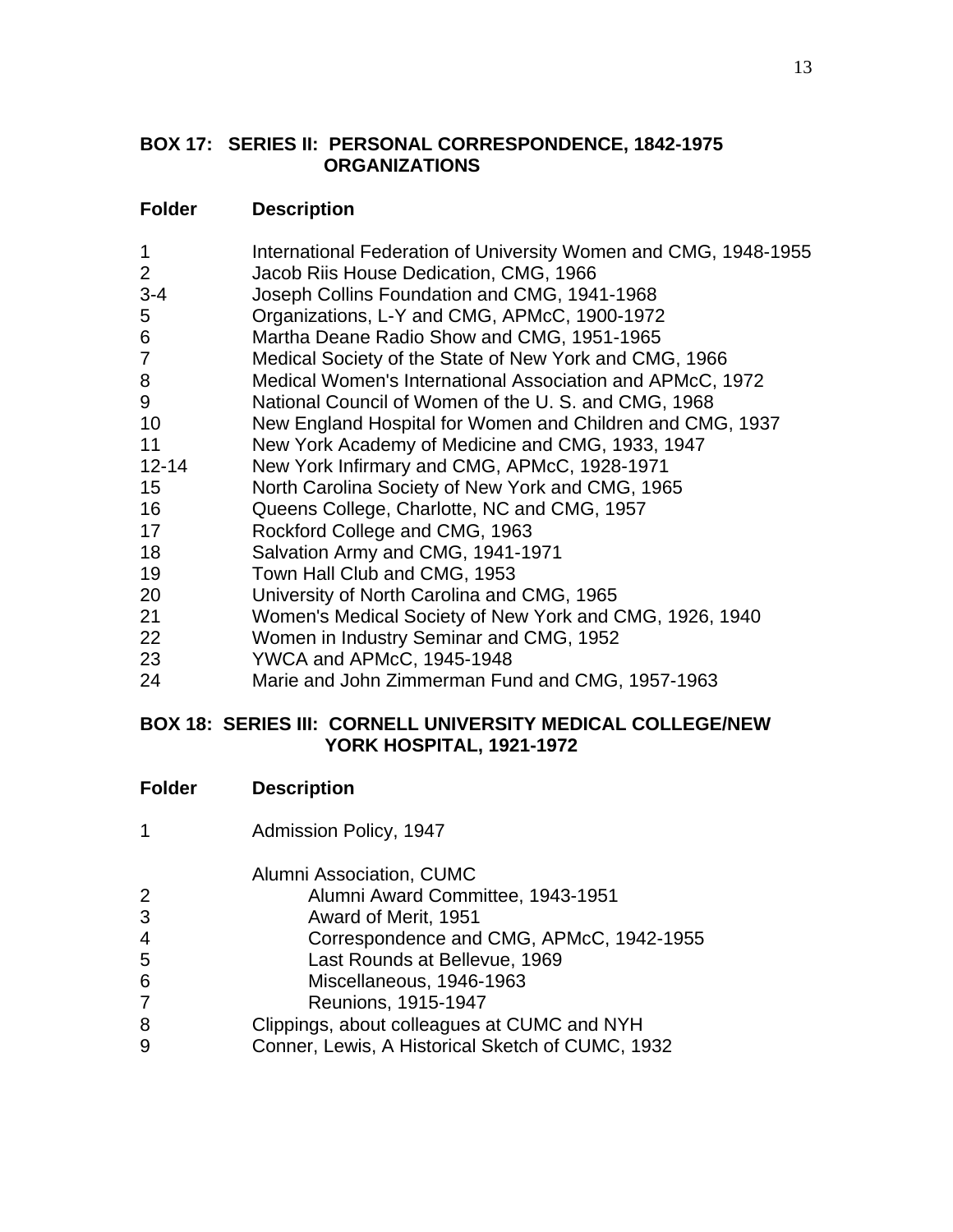### **BOX 17: SERIES II: PERSONAL CORRESPONDENCE, 1842-1975 ORGANIZATIONS**

# **Folder Description**

| 1              | International Federation of University Women and CMG, 1948-1955 |
|----------------|-----------------------------------------------------------------|
| $\overline{2}$ | Jacob Riis House Dedication, CMG, 1966                          |
| $3 - 4$        | Joseph Collins Foundation and CMG, 1941-1968                    |
| 5              | Organizations, L-Y and CMG, APMcC, 1900-1972                    |
| 6              | Martha Deane Radio Show and CMG, 1951-1965                      |
| $\overline{7}$ | Medical Society of the State of New York and CMG, 1966          |
| 8              | Medical Women's International Association and APMcC, 1972       |
| 9              | National Council of Women of the U.S. and CMG, 1968             |
| 10             | New England Hospital for Women and Children and CMG, 1937       |
| 11             | New York Academy of Medicine and CMG, 1933, 1947                |
| $12 - 14$      | New York Infirmary and CMG, APMcC, 1928-1971                    |
| 15             | North Carolina Society of New York and CMG, 1965                |
| 16             | Queens College, Charlotte, NC and CMG, 1957                     |
| 17             | Rockford College and CMG, 1963                                  |
| 18             | Salvation Army and CMG, 1941-1971                               |
| 19             | Town Hall Club and CMG, 1953                                    |
| 20             | University of North Carolina and CMG, 1965                      |
| 21             | Women's Medical Society of New York and CMG, 1926, 1940         |
| 22             | Women in Industry Seminar and CMG, 1952                         |
| 23             | YWCA and APMcC, 1945-1948                                       |
| 24             | Marie and John Zimmerman Fund and CMG, 1957-1963                |
|                |                                                                 |

### **BOX 18: SERIES III: CORNELL UNIVERSITY MEDICAL COLLEGE/NEW YORK HOSPITAL, 1921-1972**

| <b>Folder</b> | <b>Description</b> |
|---------------|--------------------|
|---------------|--------------------|

Admission Policy, 1947

#### Alumni Association, CUMC

- Alumni Award Committee, 1943-1951
- Award of Merit, 1951
- Correspondence and CMG, APMcC, 1942-1955
- Last Rounds at Bellevue, 1969
- Miscellaneous, 1946-1963
- Reunions, 1915-1947
- Clippings, about colleagues at CUMC and NYH
- Conner, Lewis, A Historical Sketch of CUMC, 1932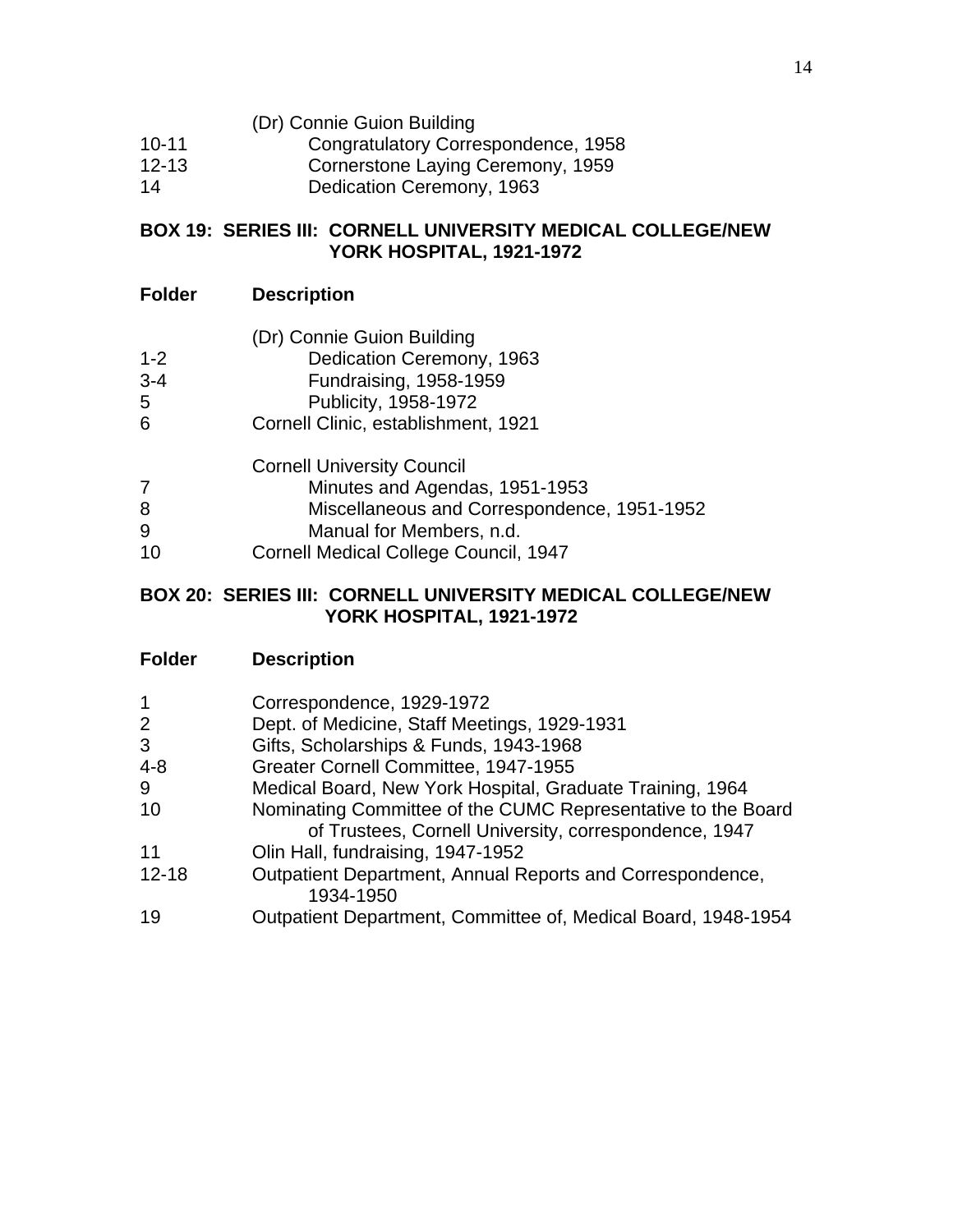- (Dr) Connie Guion Building
- 10-11 Congratulatory Correspondence, 1958
- 12-13 Cornerstone Laying Ceremony, 1959
- 14 Dedication Ceremony, 1963

### **BOX 19: SERIES III: CORNELL UNIVERSITY MEDICAL COLLEGE/NEW YORK HOSPITAL, 1921-1972**

### **Folder Description**

- (Dr) Connie Guion Building
- 1-2 Dedication Ceremony, 1963
- 3-4 Fundraising, 1958-1959
- 5 Publicity, 1958-1972
- 6 Cornell Clinic, establishment, 1921

Cornell University Council

- 7 Minutes and Agendas, 1951-1953
- 8 Miscellaneous and Correspondence, 1951-1952
- 9 Manual for Members, n.d.
- 10 Cornell Medical College Council, 1947

### **BOX 20: SERIES III: CORNELL UNIVERSITY MEDICAL COLLEGE/NEW YORK HOSPITAL, 1921-1972**

| $\mathbf{1}$ | Correspondence, 1929-1972                                              |
|--------------|------------------------------------------------------------------------|
| 2            | Dept. of Medicine, Staff Meetings, 1929-1931                           |
| 3            | Gifts, Scholarships & Funds, 1943-1968                                 |
| $4 - 8$      | Greater Cornell Committee, 1947-1955                                   |
| 9            | Medical Board, New York Hospital, Graduate Training, 1964              |
| 10           | Nominating Committee of the CUMC Representative to the Board           |
|              | of Trustees, Cornell University, correspondence, 1947                  |
| 11           | Olin Hall, fundraising, 1947-1952                                      |
| $12 - 18$    | Outpatient Department, Annual Reports and Correspondence,<br>1934-1950 |
| 19           | Outpatient Department, Committee of, Medical Board, 1948-1954          |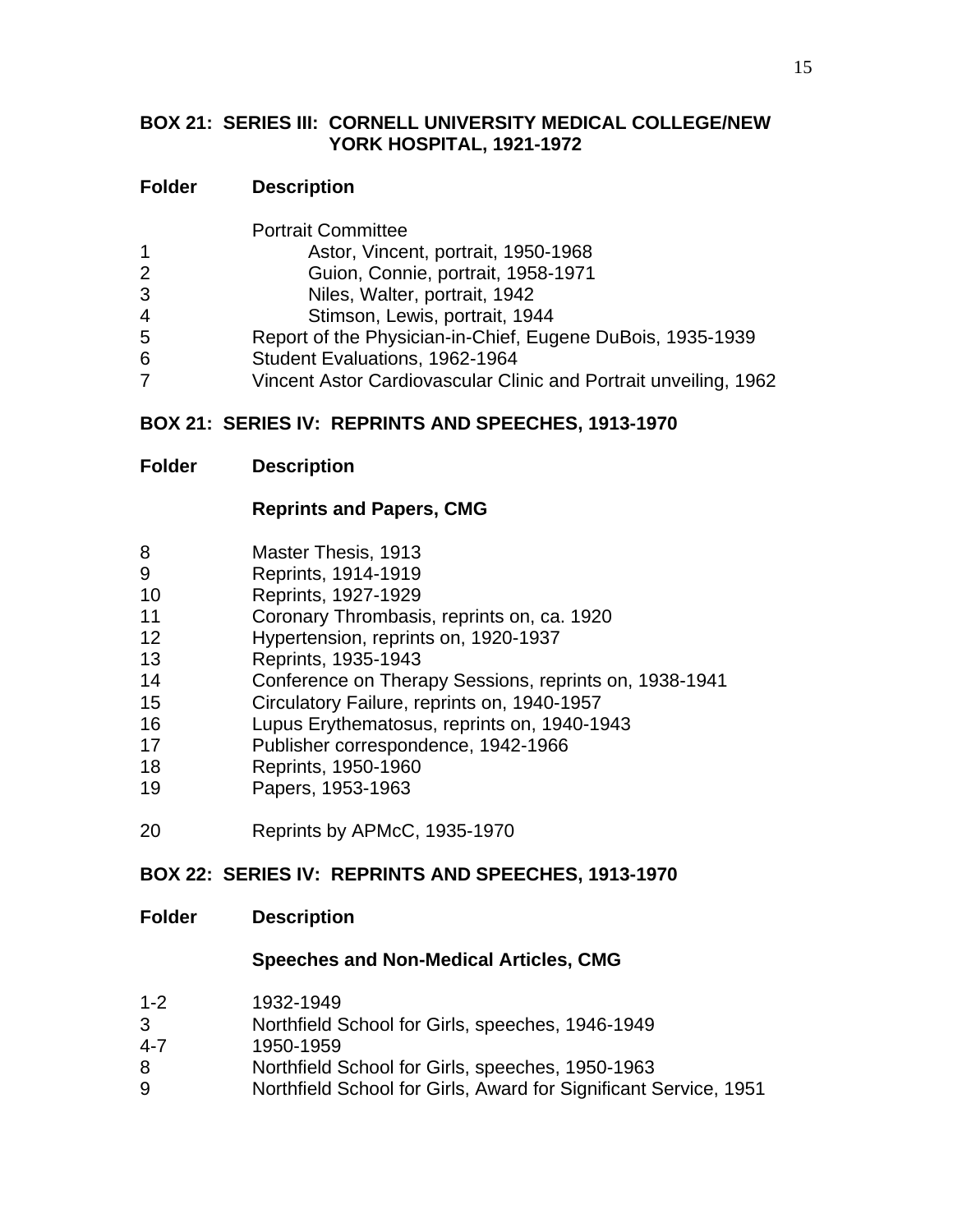### **BOX 21: SERIES III: CORNELL UNIVERSITY MEDICAL COLLEGE/NEW YORK HOSPITAL, 1921-1972**

### **Folder Description**

|                | <b>Portrait Committee</b>                                        |
|----------------|------------------------------------------------------------------|
| 1              | Astor, Vincent, portrait, 1950-1968                              |
| $\overline{2}$ | Guion, Connie, portrait, 1958-1971                               |
| 3              | Niles, Walter, portrait, 1942                                    |
| 4              | Stimson, Lewis, portrait, 1944                                   |
| 5              | Report of the Physician-in-Chief, Eugene DuBois, 1935-1939       |
| 6              | Student Evaluations, 1962-1964                                   |
| 7              | Vincent Astor Cardiovascular Clinic and Portrait unveiling, 1962 |
|                |                                                                  |

### **BOX 21: SERIES IV: REPRINTS AND SPEECHES, 1913-1970**

### **Folder Description**

### **Reprints and Papers, CMG**

- Master Thesis, 1913
- Reprints, 1914-1919
- Reprints, 1927-1929
- Coronary Thrombasis, reprints on, ca. 1920
- Hypertension, reprints on, 1920-1937
- Reprints, 1935-1943
- Conference on Therapy Sessions, reprints on, 1938-1941
- Circulatory Failure, reprints on, 1940-1957
- Lupus Erythematosus, reprints on, 1940-1943
- Publisher correspondence, 1942-1966
- Reprints, 1950-1960
- Papers, 1953-1963
- Reprints by APMcC, 1935-1970

### **BOX 22: SERIES IV: REPRINTS AND SPEECHES, 1913-1970**

#### **Folder Description**

### **Speeches and Non-Medical Articles, CMG**

- 1-2 1932-1949
- Northfield School for Girls, speeches, 1946-1949
- 4-7 1950-1959
- Northfield School for Girls, speeches, 1950-1963
- Northfield School for Girls, Award for Significant Service, 1951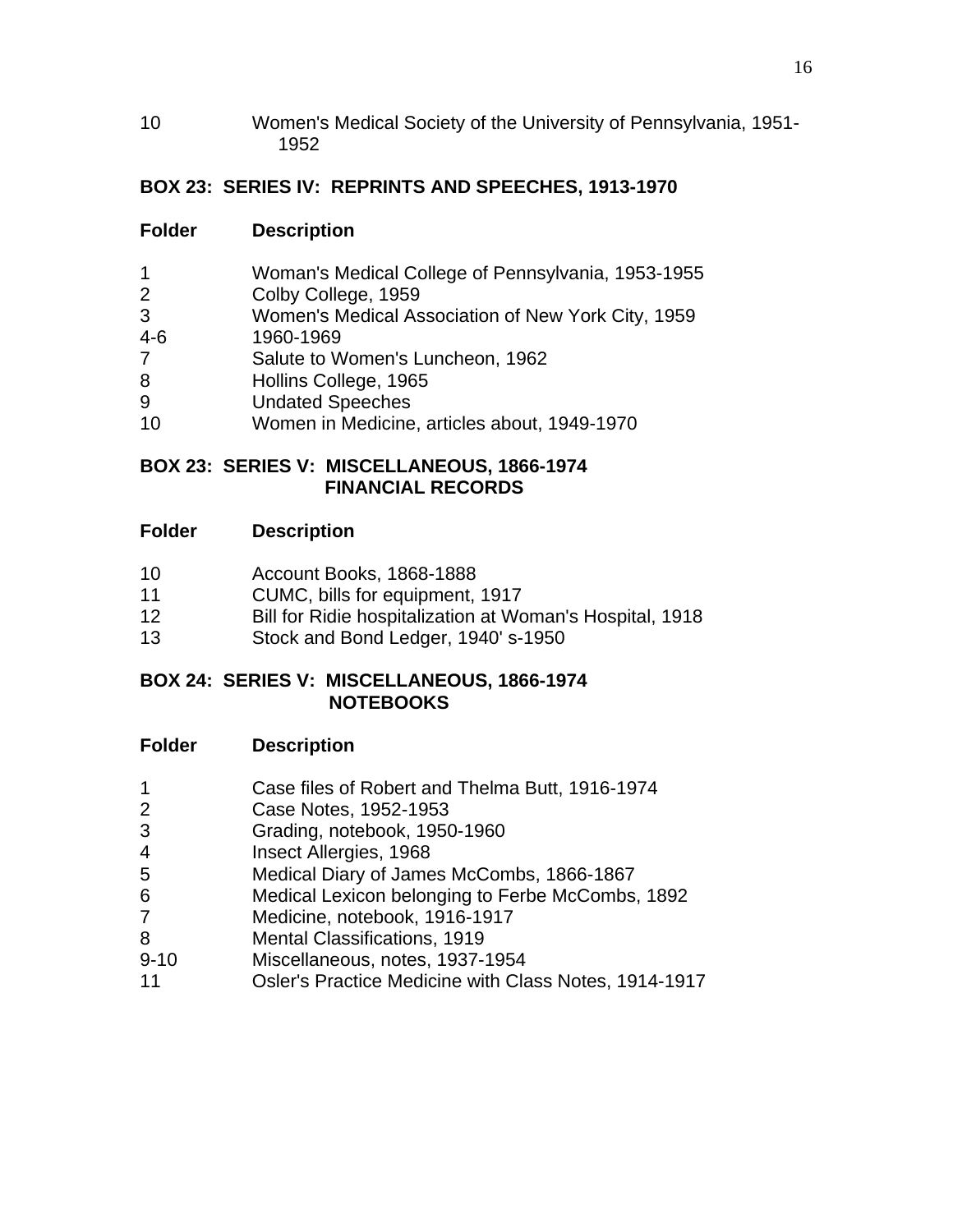Women's Medical Society of the University of Pennsylvania, 1951- 

# **BOX 23: SERIES IV: REPRINTS AND SPEECHES, 1913-1970**

# **Folder Description**

| $\mathbf{1}$   | Woman's Medical College of Pennsylvania, 1953-1955 |
|----------------|----------------------------------------------------|
| $\overline{2}$ | Colby College, 1959                                |
| 3              | Women's Medical Association of New York City, 1959 |
| 4-6            | 1960-1969                                          |
| $\overline{7}$ | Salute to Women's Luncheon, 1962                   |
| 8              | Hollins College, 1965                              |
| 9              | <b>Undated Speeches</b>                            |
| 10             | Women in Medicine, articles about, 1949-1970       |

### **BOX 23: SERIES V: MISCELLANEOUS, 1866-1974 FINANCIAL RECORDS**

# **Folder Description**

- Account Books, 1868-1888
- CUMC, bills for equipment, 1917
- Bill for Ridie hospitalization at Woman's Hospital, 1918
- Stock and Bond Ledger, 1940' s-1950

#### **BOX 24: SERIES V: MISCELLANEOUS, 1866-1974 NOTEBOOKS**

- Case files of Robert and Thelma Butt, 1916-1974
- Case Notes, 1952-1953
- Grading, notebook, 1950-1960
- Insect Allergies, 1968
- Medical Diary of James McCombs, 1866-1867
- Medical Lexicon belonging to Ferbe McCombs, 1892
- Medicine, notebook, 1916-1917
- Mental Classifications, 1919
- 9-10 Miscellaneous, notes, 1937-1954
- Osler's Practice Medicine with Class Notes, 1914-1917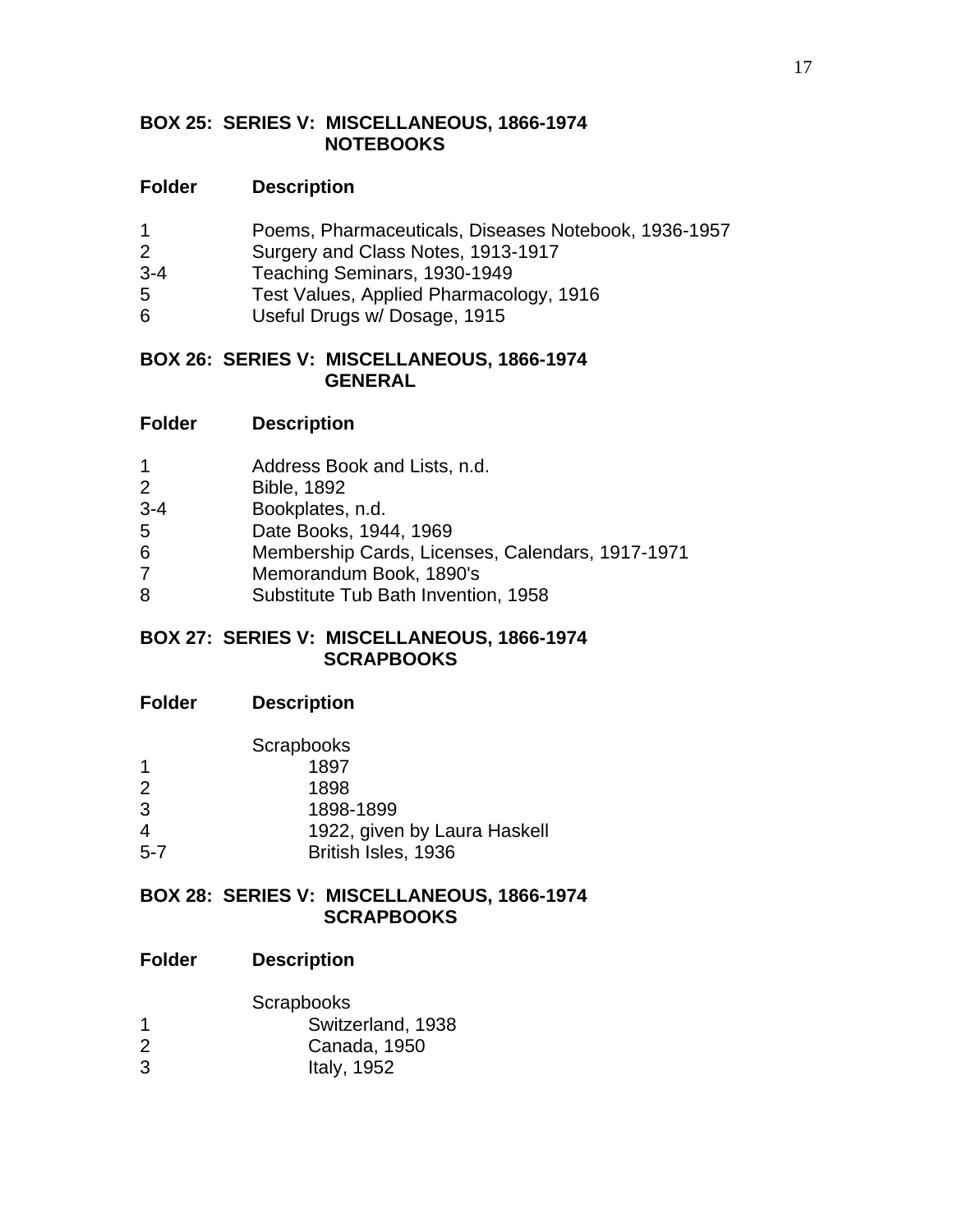#### **BOX 25: SERIES V: MISCELLANEOUS, 1866-1974 NOTEBOOKS**

#### **Folder Description**

- 1 Poems, Pharmaceuticals, Diseases Notebook, 1936-1957
- 2 Surgery and Class Notes, 1913-1917
- 3-4 Teaching Seminars, 1930-1949
- 5 Test Values, Applied Pharmacology, 1916
- 6 Useful Drugs w/ Dosage, 1915

#### **BOX 26: SERIES V: MISCELLANEOUS, 1866-1974 GENERAL**

- 1 Address Book and Lists, n.d.
- 2 Bible, 1892
- 3-4 Bookplates, n.d.
- 5 Date Books, 1944, 1969
- 6 Membership Cards, Licenses, Calendars, 1917-1971
- 7 Memorandum Book, 1890's
- 8 Substitute Tub Bath Invention, 1958

#### **BOX 27: SERIES V: MISCELLANEOUS, 1866-1974 SCRAPBOOKS**

**Folder Description**

|         | <b>Scrapbooks</b>            |
|---------|------------------------------|
| 1       | 1897                         |
| 2       | 1898                         |
| 3       | 1898-1899                    |
| 4       | 1922, given by Laura Haskell |
| $5 - 7$ | British Isles, 1936          |

#### **BOX 28: SERIES V: MISCELLANEOUS, 1866-1974 SCRAPBOOKS**

|   | Scrapbooks        |
|---|-------------------|
| 1 | Switzerland, 1938 |
| 2 | Canada, 1950      |
| 3 | Italy, 1952       |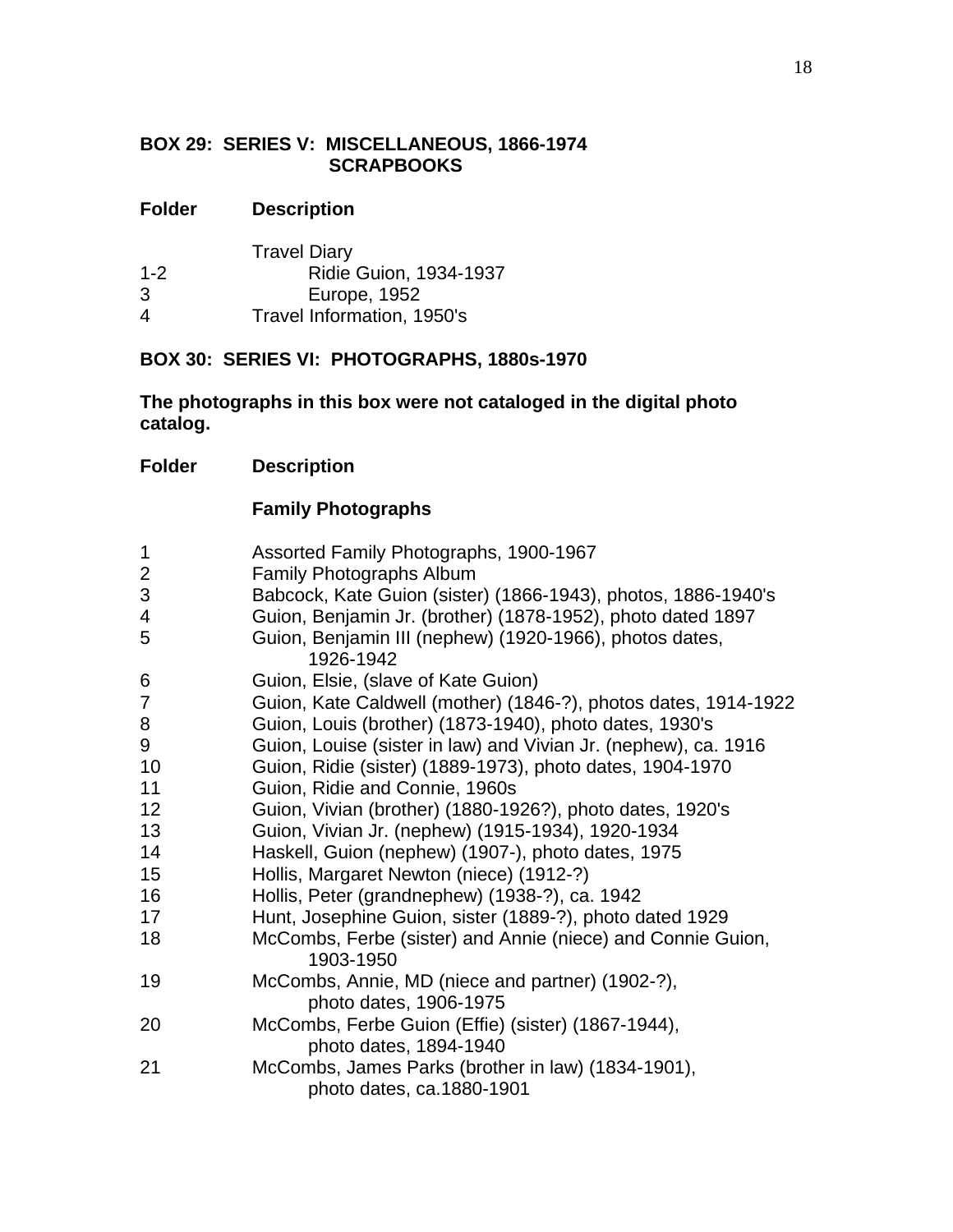### **BOX 29: SERIES V: MISCELLANEOUS, 1866-1974 SCRAPBOOKS**

# **Folder Description**

|         | <b>Travel Diary</b>        |
|---------|----------------------------|
| $1 - 2$ | Ridie Guion, 1934-1937     |
| 3       | Europe, 1952               |
| 4       | Travel Information, 1950's |

### **BOX 30: SERIES VI: PHOTOGRAPHS, 1880s-1970**

# **The photographs in this box were not cataloged in the digital photo catalog.**

### **Folder Description**

# **Family Photographs**

| $\mathbf{1}$   | Assorted Family Photographs, 1900-1967                                          |
|----------------|---------------------------------------------------------------------------------|
| $\overline{2}$ | Family Photographs Album                                                        |
| $\mathfrak{S}$ | Babcock, Kate Guion (sister) (1866-1943), photos, 1886-1940's                   |
| 4              | Guion, Benjamin Jr. (brother) (1878-1952), photo dated 1897                     |
| 5              | Guion, Benjamin III (nephew) (1920-1966), photos dates,<br>1926-1942            |
| 6              | Guion, Elsie, (slave of Kate Guion)                                             |
| $\overline{7}$ | Guion, Kate Caldwell (mother) (1846-?), photos dates, 1914-1922                 |
| 8              | Guion, Louis (brother) (1873-1940), photo dates, 1930's                         |
| 9              | Guion, Louise (sister in law) and Vivian Jr. (nephew), ca. 1916                 |
| 10             | Guion, Ridie (sister) (1889-1973), photo dates, 1904-1970                       |
| 11             | Guion, Ridie and Connie, 1960s                                                  |
| 12             | Guion, Vivian (brother) (1880-1926?), photo dates, 1920's                       |
| 13             | Guion, Vivian Jr. (nephew) (1915-1934), 1920-1934                               |
| 14             | Haskell, Guion (nephew) (1907-), photo dates, 1975                              |
| 15             | Hollis, Margaret Newton (niece) (1912-?)                                        |
| 16             | Hollis, Peter (grandnephew) (1938-?), ca. 1942                                  |
| 17             | Hunt, Josephine Guion, sister (1889-?), photo dated 1929                        |
| 18             | McCombs, Ferbe (sister) and Annie (niece) and Connie Guion,<br>1903-1950        |
| 19             | McCombs, Annie, MD (niece and partner) (1902-?),<br>photo dates, 1906-1975      |
| 20             | McCombs, Ferbe Guion (Effie) (sister) (1867-1944),<br>photo dates, 1894-1940    |
| 21             | McCombs, James Parks (brother in law) (1834-1901),<br>photo dates, ca.1880-1901 |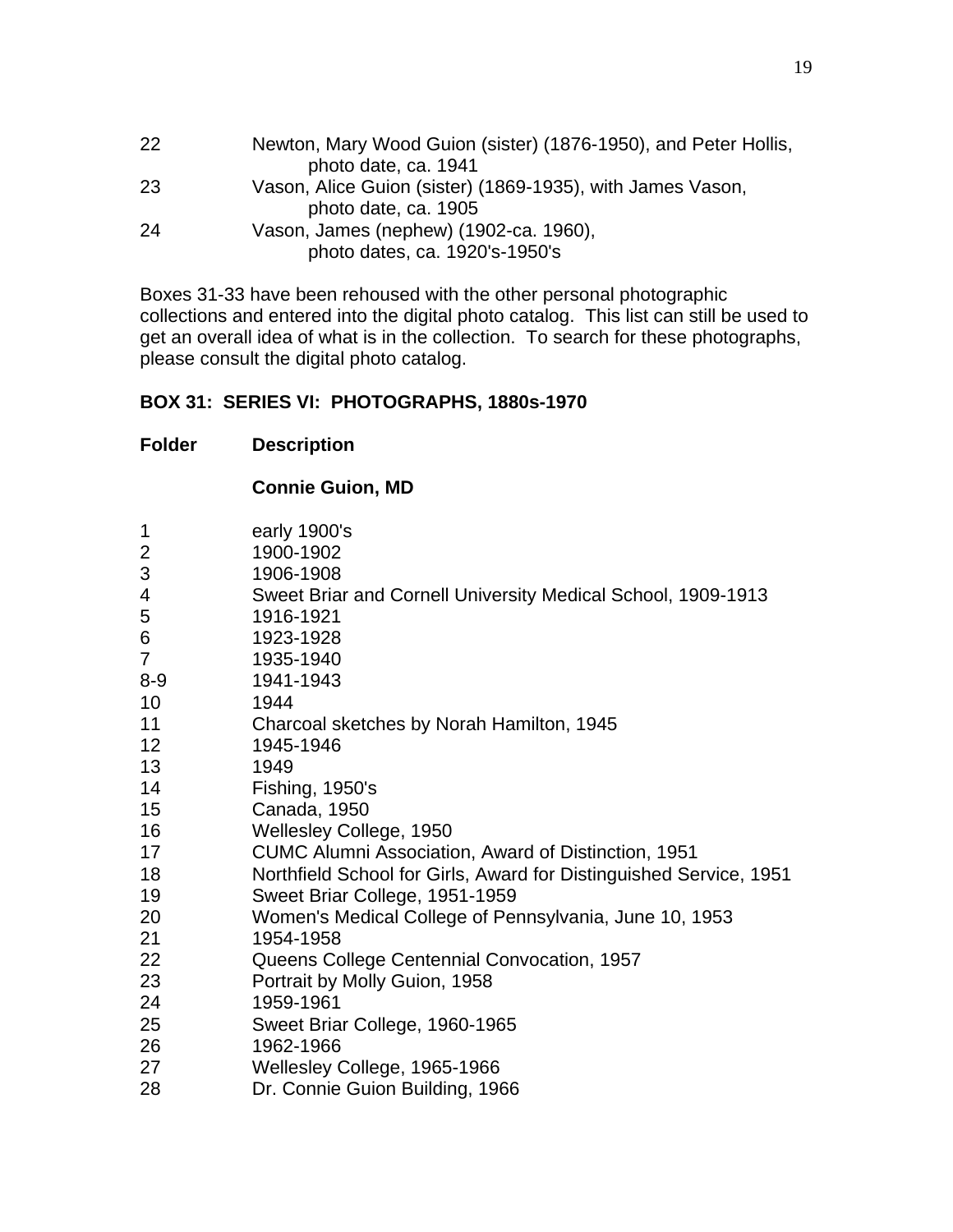| 22 | Newton, Mary Wood Guion (sister) (1876-1950), and Peter Hollis, |
|----|-----------------------------------------------------------------|
|    | photo date, ca. 1941                                            |
| 23 | Vason, Alice Guion (sister) (1869-1935), with James Vason,      |
|    | photo date, ca. 1905                                            |
| 24 | Vason, James (nephew) (1902-ca. 1960),                          |
|    | photo dates, ca. 1920's-1950's                                  |

Boxes 31-33 have been rehoused with the other personal photographic collections and entered into the digital photo catalog. This list can still be used to get an overall idea of what is in the collection. To search for these photographs, please consult the digital photo catalog.

### **BOX 31: SERIES VI: PHOTOGRAPHS, 1880s-1970**

|                 | <b>Connie Guion, MD</b>                                            |
|-----------------|--------------------------------------------------------------------|
| 1               | early 1900's                                                       |
| 2               | 1900-1902                                                          |
| 3               | 1906-1908                                                          |
| 4               | Sweet Briar and Cornell University Medical School, 1909-1913       |
| 5               | 1916-1921                                                          |
| 6               | 1923-1928                                                          |
| $\overline{7}$  | 1935-1940                                                          |
| $8 - 9$         | 1941-1943                                                          |
| 10              | 1944                                                               |
| 11              | Charcoal sketches by Norah Hamilton, 1945                          |
| 12 <sup>2</sup> | 1945-1946                                                          |
| 13              | 1949                                                               |
| 14              | Fishing, 1950's                                                    |
| 15              | Canada, 1950                                                       |
| 16              | Wellesley College, 1950                                            |
| 17              | <b>CUMC Alumni Association, Award of Distinction, 1951</b>         |
| 18              | Northfield School for Girls, Award for Distinguished Service, 1951 |
| 19              | Sweet Briar College, 1951-1959                                     |
| 20              | Women's Medical College of Pennsylvania, June 10, 1953             |
| 21              | 1954-1958                                                          |
| 22              | Queens College Centennial Convocation, 1957                        |
| 23              | Portrait by Molly Guion, 1958                                      |
| 24              | 1959-1961                                                          |
| 25              | Sweet Briar College, 1960-1965                                     |
| 26              | 1962-1966                                                          |
| 27              | Wellesley College, 1965-1966                                       |
| 28              | Dr. Connie Guion Building, 1966                                    |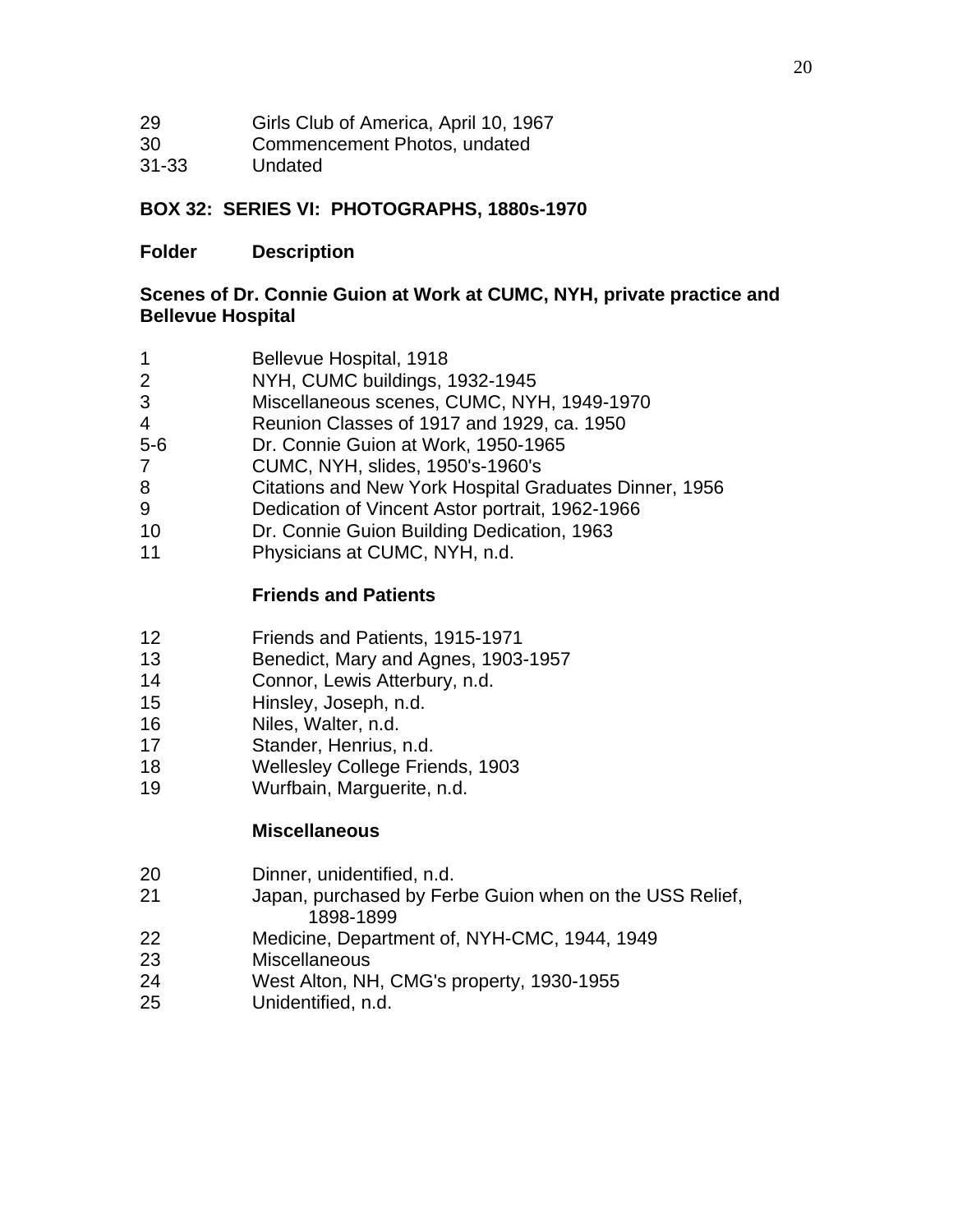| 29 | Girls Club of America, April 10, 1967 |
|----|---------------------------------------|
|----|---------------------------------------|

- Commencement Photos, undated
- 31-33 Undated

### **BOX 32: SERIES VI: PHOTOGRAPHS, 1880s-1970**

### **Folder Description**

#### **Scenes of Dr. Connie Guion at Work at CUMC, NYH, private practice and Bellevue Hospital**

- Bellevue Hospital, 1918
- NYH, CUMC buildings, 1932-1945
- Miscellaneous scenes, CUMC, NYH, 1949-1970
- Reunion Classes of 1917 and 1929, ca. 1950
- 5-6 Dr. Connie Guion at Work, 1950-1965
- CUMC, NYH, slides, 1950's-1960's
- Citations and New York Hospital Graduates Dinner, 1956
- Dedication of Vincent Astor portrait, 1962-1966
- Dr. Connie Guion Building Dedication, 1963
- Physicians at CUMC, NYH, n.d.

# **Friends and Patients**

- Friends and Patients, 1915-1971
- Benedict, Mary and Agnes, 1903-1957
- Connor, Lewis Atterbury, n.d.
- Hinsley, Joseph, n.d.
- Niles, Walter, n.d.
- Stander, Henrius, n.d.
- Wellesley College Friends, 1903
- Wurfbain, Marguerite, n.d.

### **Miscellaneous**

- Dinner, unidentified, n.d.
- Japan, purchased by Ferbe Guion when on the USS Relief, 1898-1899
- Medicine, Department of, NYH-CMC, 1944, 1949
- Miscellaneous
- West Alton, NH, CMG's property, 1930-1955
- Unidentified, n.d.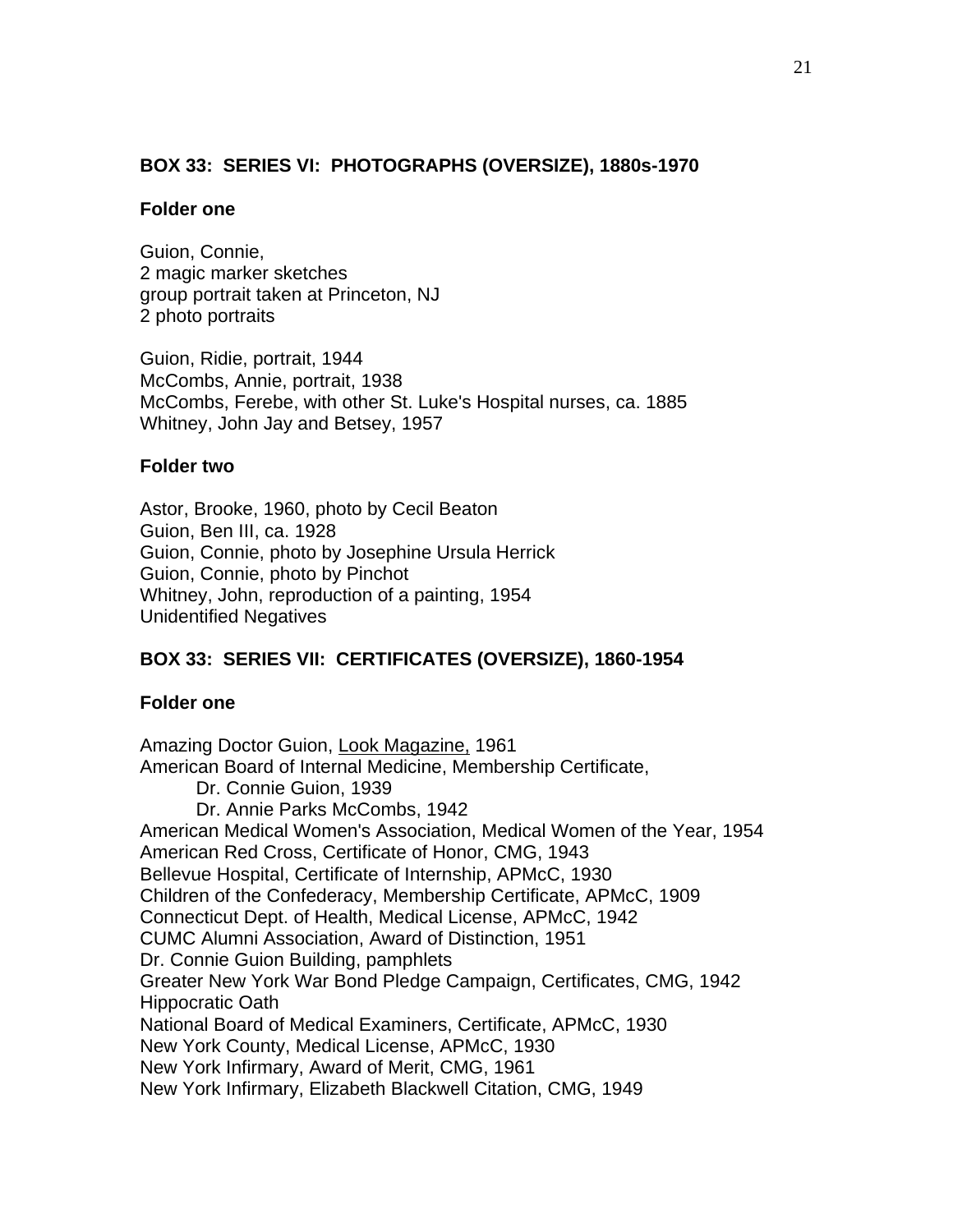### **BOX 33: SERIES VI: PHOTOGRAPHS (OVERSIZE), 1880s-1970**

#### **Folder one**

Guion, Connie, 2 magic marker sketches group portrait taken at Princeton, NJ 2 photo portraits

Guion, Ridie, portrait, 1944 McCombs, Annie, portrait, 1938 McCombs, Ferebe, with other St. Luke's Hospital nurses, ca. 1885 Whitney, John Jay and Betsey, 1957

#### **Folder two**

Astor, Brooke, 1960, photo by Cecil Beaton Guion, Ben III, ca. 1928 Guion, Connie, photo by Josephine Ursula Herrick Guion, Connie, photo by Pinchot Whitney, John, reproduction of a painting, 1954 Unidentified Negatives

# **BOX 33: SERIES VII: CERTIFICATES (OVERSIZE), 1860-1954**

#### **Folder one**

Amazing Doctor Guion, Look Magazine, 1961 American Board of Internal Medicine, Membership Certificate, Dr. Connie Guion, 1939 Dr. Annie Parks McCombs, 1942 American Medical Women's Association, Medical Women of the Year, 1954 American Red Cross, Certificate of Honor, CMG, 1943 Bellevue Hospital, Certificate of Internship, APMcC, 1930 Children of the Confederacy, Membership Certificate, APMcC, 1909 Connecticut Dept. of Health, Medical License, APMcC, 1942 CUMC Alumni Association, Award of Distinction, 1951 Dr. Connie Guion Building, pamphlets Greater New York War Bond Pledge Campaign, Certificates, CMG, 1942 Hippocratic Oath National Board of Medical Examiners, Certificate, APMcC, 1930 New York County, Medical License, APMcC, 1930 New York Infirmary, Award of Merit, CMG, 1961 New York Infirmary, Elizabeth Blackwell Citation, CMG, 1949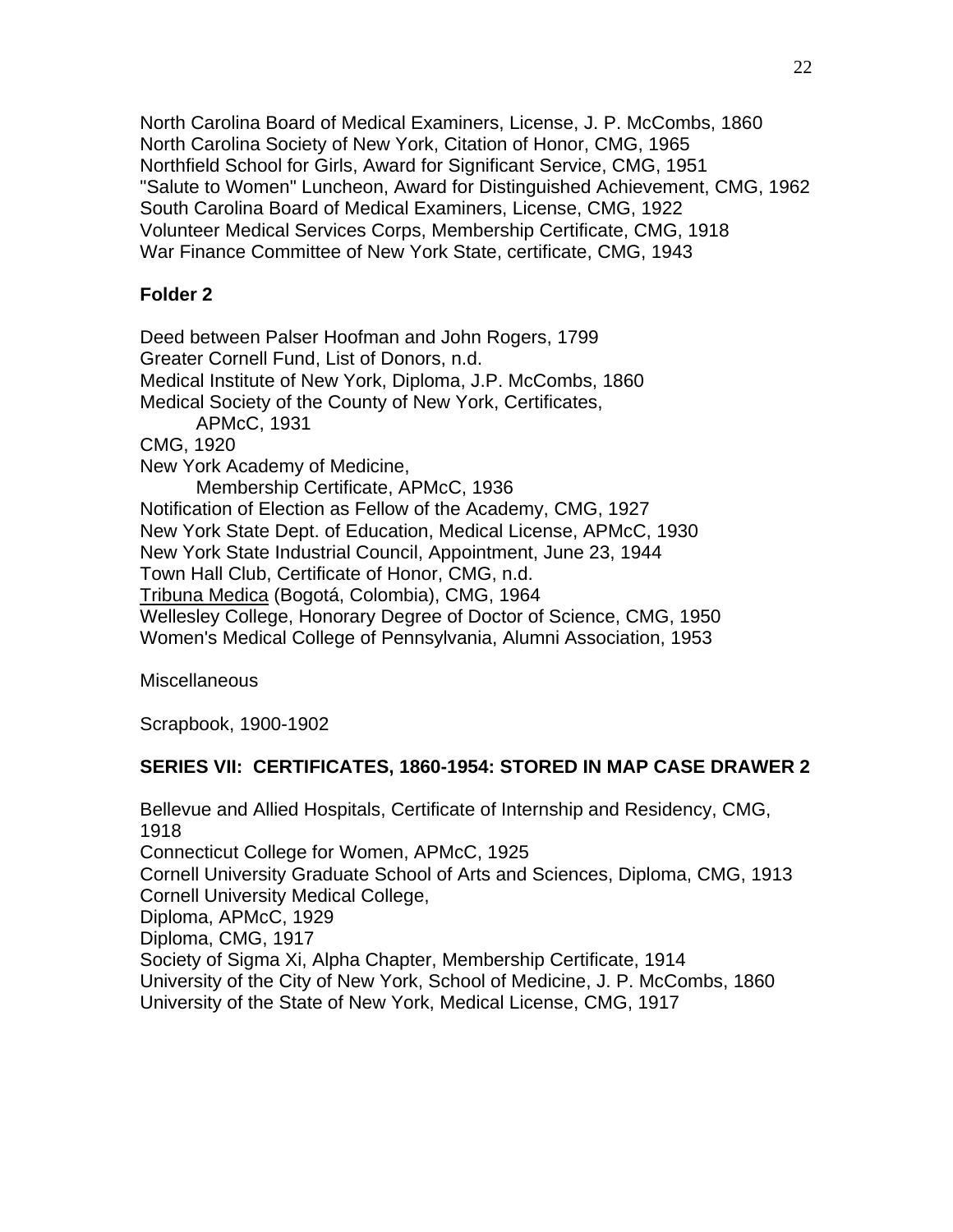North Carolina Board of Medical Examiners, License, J. P. McCombs, 1860 North Carolina Society of New York, Citation of Honor, CMG, 1965 Northfield School for Girls, Award for Significant Service, CMG, 1951 "Salute to Women" Luncheon, Award for Distinguished Achievement, CMG, 1962 South Carolina Board of Medical Examiners, License, CMG, 1922 Volunteer Medical Services Corps, Membership Certificate, CMG, 1918 War Finance Committee of New York State, certificate, CMG, 1943

### **Folder 2**

Deed between Palser Hoofman and John Rogers, 1799 Greater Cornell Fund, List of Donors, n.d. Medical Institute of New York, Diploma, J.P. McCombs, 1860 Medical Society of the County of New York, Certificates, APMcC, 1931 CMG, 1920 New York Academy of Medicine, Membership Certificate, APMcC, 1936 Notification of Election as Fellow of the Academy, CMG, 1927 New York State Dept. of Education, Medical License, APMcC, 1930 New York State Industrial Council, Appointment, June 23, 1944 Town Hall Club, Certificate of Honor, CMG, n.d. Tribuna Medica (Bogotá, Colombia), CMG, 1964 Wellesley College, Honorary Degree of Doctor of Science, CMG, 1950 Women's Medical College of Pennsylvania, Alumni Association, 1953

**Miscellaneous** 

Scrapbook, 1900-1902

### **SERIES VII: CERTIFICATES, 1860-1954: STORED IN MAP CASE DRAWER 2**

Bellevue and Allied Hospitals, Certificate of Internship and Residency, CMG, 1918 Connecticut College for Women, APMcC, 1925 Cornell University Graduate School of Arts and Sciences, Diploma, CMG, 1913 Cornell University Medical College, Diploma, APMcC, 1929 Diploma, CMG, 1917 Society of Sigma Xi, Alpha Chapter, Membership Certificate, 1914 University of the City of New York, School of Medicine, J. P. McCombs, 1860 University of the State of New York, Medical License, CMG, 1917